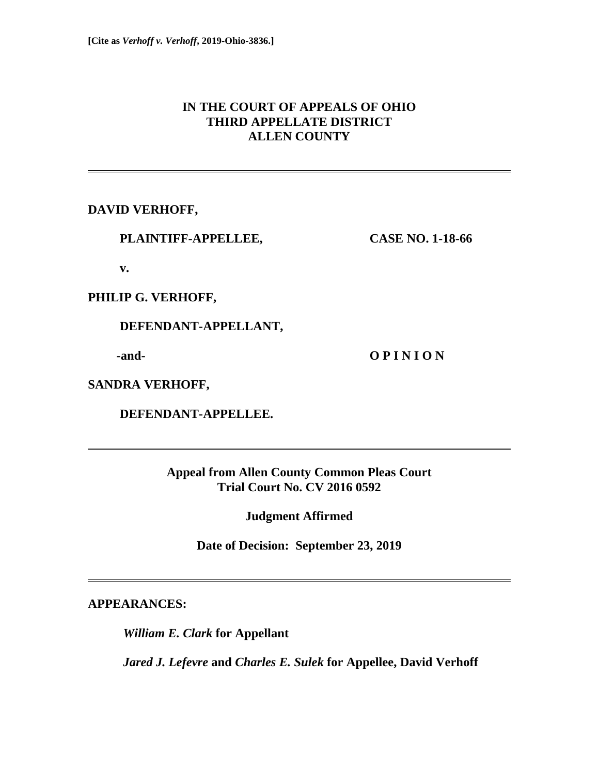# **IN THE COURT OF APPEALS OF OHIO THIRD APPELLATE DISTRICT ALLEN COUNTY**

**DAVID VERHOFF,** 

 **PLAINTIFF-APPELLEE, CASE NO. 1-18-66** 

 **v.** 

**PHILIP G. VERHOFF,** 

 **DEFENDANT-APPELLANT,** 

**and- O P I N I O N** 

**SANDRA VERHOFF,** 

 **DEFENDANT-APPELLEE.** 

**Appeal from Allen County Common Pleas Court Trial Court No. CV 2016 0592** 

**Judgment Affirmed** 

**Date of Decision: September 23, 2019** 

**APPEARANCES:** 

*William E. Clark* **for Appellant** 

*Jared J. Lefevre* **and** *Charles E. Sulek* **for Appellee, David Verhoff**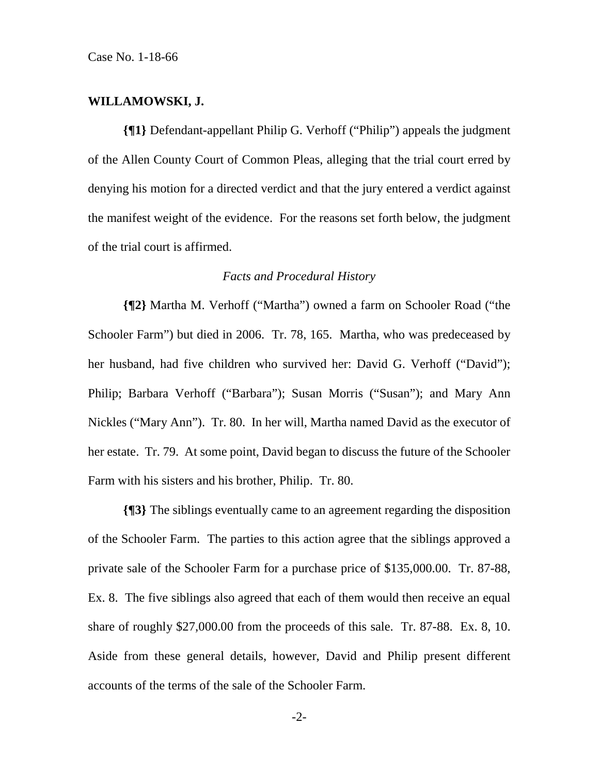#### **WILLAMOWSKI, J.**

**{¶1}** Defendant-appellant Philip G. Verhoff ("Philip") appeals the judgment of the Allen County Court of Common Pleas, alleging that the trial court erred by denying his motion for a directed verdict and that the jury entered a verdict against the manifest weight of the evidence. For the reasons set forth below, the judgment of the trial court is affirmed.

#### *Facts and Procedural History*

**{¶2}** Martha M. Verhoff ("Martha") owned a farm on Schooler Road ("the Schooler Farm") but died in 2006. Tr. 78, 165. Martha, who was predeceased by her husband, had five children who survived her: David G. Verhoff ("David"); Philip; Barbara Verhoff ("Barbara"); Susan Morris ("Susan"); and Mary Ann Nickles ("Mary Ann"). Tr. 80. In her will, Martha named David as the executor of her estate. Tr. 79. At some point, David began to discuss the future of the Schooler Farm with his sisters and his brother, Philip. Tr. 80.

**{¶3}** The siblings eventually came to an agreement regarding the disposition of the Schooler Farm. The parties to this action agree that the siblings approved a private sale of the Schooler Farm for a purchase price of \$135,000.00. Tr. 87-88, Ex. 8. The five siblings also agreed that each of them would then receive an equal share of roughly \$27,000.00 from the proceeds of this sale. Tr. 87-88. Ex. 8, 10. Aside from these general details, however, David and Philip present different accounts of the terms of the sale of the Schooler Farm.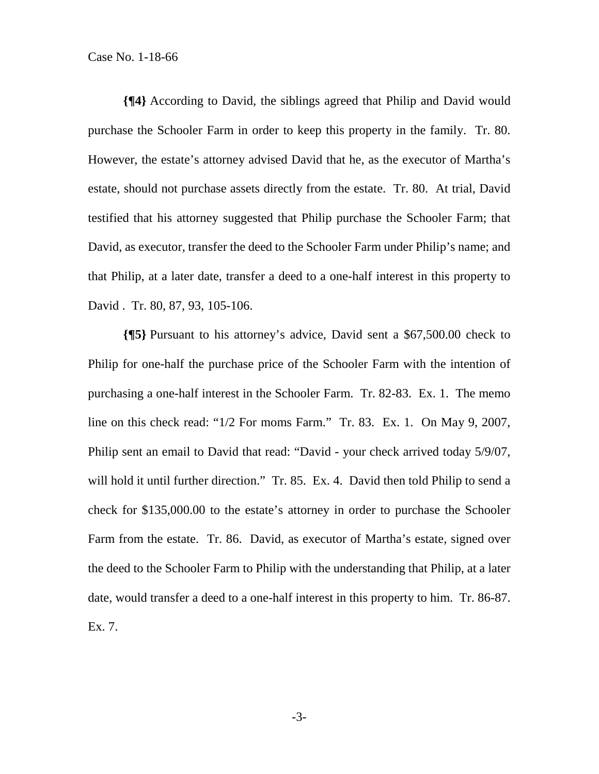**{¶4}** According to David, the siblings agreed that Philip and David would purchase the Schooler Farm in order to keep this property in the family. Tr. 80. However, the estate's attorney advised David that he, as the executor of Martha's estate, should not purchase assets directly from the estate. Tr. 80. At trial, David testified that his attorney suggested that Philip purchase the Schooler Farm; that David, as executor, transfer the deed to the Schooler Farm under Philip's name; and that Philip, at a later date, transfer a deed to a one-half interest in this property to David . Tr. 80, 87, 93, 105-106.

**{¶5}** Pursuant to his attorney's advice, David sent a \$67,500.00 check to Philip for one-half the purchase price of the Schooler Farm with the intention of purchasing a one-half interest in the Schooler Farm. Tr. 82-83. Ex. 1. The memo line on this check read: "1/2 For moms Farm." Tr. 83. Ex. 1. On May 9, 2007, Philip sent an email to David that read: "David - your check arrived today 5/9/07, will hold it until further direction." Tr. 85. Ex. 4. David then told Philip to send a check for \$135,000.00 to the estate's attorney in order to purchase the Schooler Farm from the estate. Tr. 86. David, as executor of Martha's estate, signed over the deed to the Schooler Farm to Philip with the understanding that Philip, at a later date, would transfer a deed to a one-half interest in this property to him. Tr. 86-87. Ex. 7.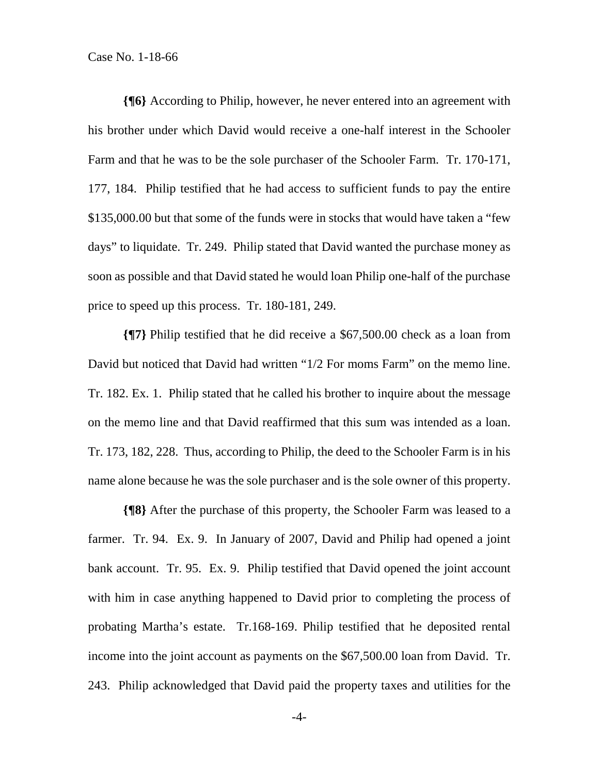**{¶6}** According to Philip, however, he never entered into an agreement with his brother under which David would receive a one-half interest in the Schooler Farm and that he was to be the sole purchaser of the Schooler Farm. Tr. 170-171, 177, 184. Philip testified that he had access to sufficient funds to pay the entire \$135,000.00 but that some of the funds were in stocks that would have taken a "few days" to liquidate. Tr. 249. Philip stated that David wanted the purchase money as soon as possible and that David stated he would loan Philip one-half of the purchase price to speed up this process. Tr. 180-181, 249.

**{¶7}** Philip testified that he did receive a \$67,500.00 check as a loan from David but noticed that David had written "1/2 For moms Farm" on the memo line. Tr. 182. Ex. 1. Philip stated that he called his brother to inquire about the message on the memo line and that David reaffirmed that this sum was intended as a loan. Tr. 173, 182, 228. Thus, according to Philip, the deed to the Schooler Farm is in his name alone because he was the sole purchaser and is the sole owner of this property.

**{¶8}** After the purchase of this property, the Schooler Farm was leased to a farmer. Tr. 94. Ex. 9. In January of 2007, David and Philip had opened a joint bank account. Tr. 95. Ex. 9. Philip testified that David opened the joint account with him in case anything happened to David prior to completing the process of probating Martha's estate. Tr.168-169. Philip testified that he deposited rental income into the joint account as payments on the \$67,500.00 loan from David. Tr. 243. Philip acknowledged that David paid the property taxes and utilities for the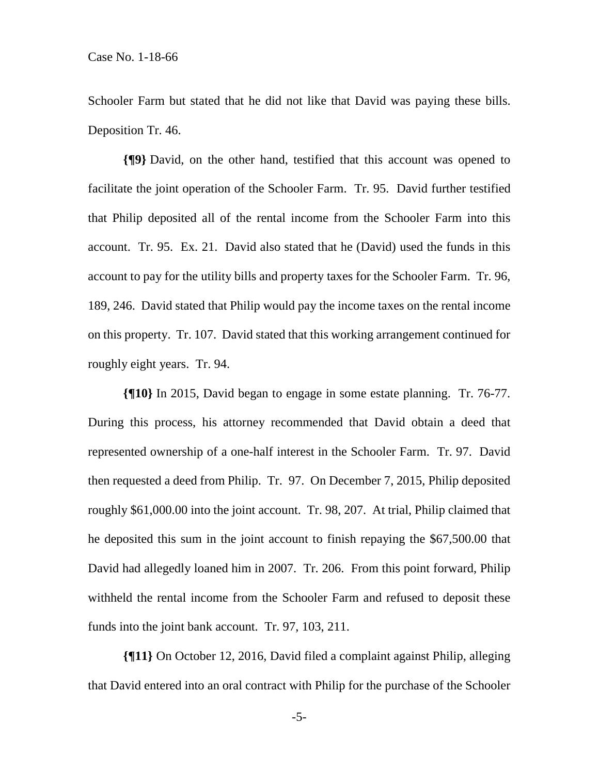Schooler Farm but stated that he did not like that David was paying these bills. Deposition Tr. 46.

**{¶9}** David, on the other hand, testified that this account was opened to facilitate the joint operation of the Schooler Farm. Tr. 95. David further testified that Philip deposited all of the rental income from the Schooler Farm into this account. Tr. 95. Ex. 21. David also stated that he (David) used the funds in this account to pay for the utility bills and property taxes for the Schooler Farm. Tr. 96, 189, 246. David stated that Philip would pay the income taxes on the rental income on this property. Tr. 107. David stated that this working arrangement continued for roughly eight years. Tr. 94.

**{¶10}** In 2015, David began to engage in some estate planning. Tr. 76-77. During this process, his attorney recommended that David obtain a deed that represented ownership of a one-half interest in the Schooler Farm. Tr. 97. David then requested a deed from Philip. Tr. 97. On December 7, 2015, Philip deposited roughly \$61,000.00 into the joint account. Tr. 98, 207. At trial, Philip claimed that he deposited this sum in the joint account to finish repaying the \$67,500.00 that David had allegedly loaned him in 2007. Tr. 206. From this point forward, Philip withheld the rental income from the Schooler Farm and refused to deposit these funds into the joint bank account. Tr. 97, 103, 211.

**{¶11}** On October 12, 2016, David filed a complaint against Philip, alleging that David entered into an oral contract with Philip for the purchase of the Schooler

-5-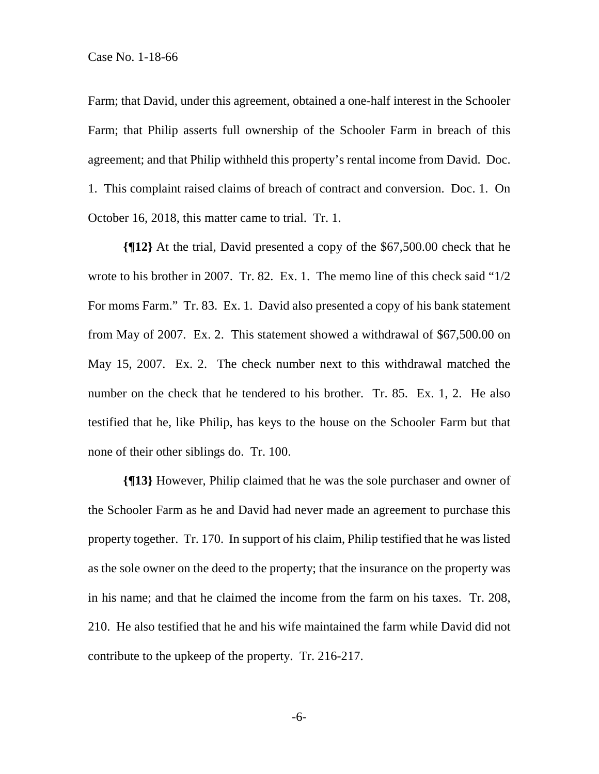Farm; that David, under this agreement, obtained a one-half interest in the Schooler Farm; that Philip asserts full ownership of the Schooler Farm in breach of this agreement; and that Philip withheld this property's rental income from David. Doc. 1. This complaint raised claims of breach of contract and conversion. Doc. 1. On October 16, 2018, this matter came to trial. Tr. 1.

**{¶12}** At the trial, David presented a copy of the \$67,500.00 check that he wrote to his brother in 2007. Tr. 82. Ex. 1. The memo line of this check said " $1/2$ For moms Farm." Tr. 83. Ex. 1. David also presented a copy of his bank statement from May of 2007. Ex. 2. This statement showed a withdrawal of \$67,500.00 on May 15, 2007. Ex. 2. The check number next to this withdrawal matched the number on the check that he tendered to his brother. Tr. 85. Ex. 1, 2. He also testified that he, like Philip, has keys to the house on the Schooler Farm but that none of their other siblings do. Tr. 100.

**{¶13}** However, Philip claimed that he was the sole purchaser and owner of the Schooler Farm as he and David had never made an agreement to purchase this property together. Tr. 170. In support of his claim, Philip testified that he was listed as the sole owner on the deed to the property; that the insurance on the property was in his name; and that he claimed the income from the farm on his taxes. Tr. 208, 210. He also testified that he and his wife maintained the farm while David did not contribute to the upkeep of the property. Tr. 216-217.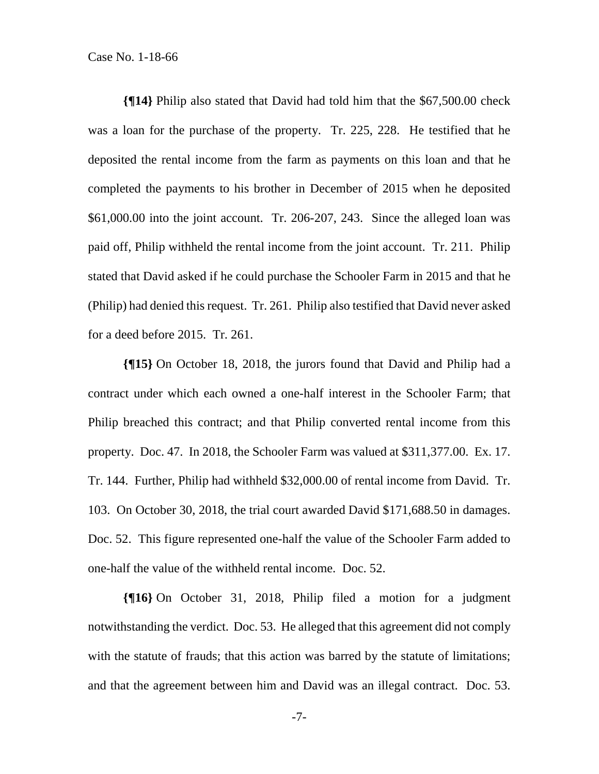**{¶14}** Philip also stated that David had told him that the \$67,500.00 check was a loan for the purchase of the property. Tr. 225, 228. He testified that he deposited the rental income from the farm as payments on this loan and that he completed the payments to his brother in December of 2015 when he deposited \$61,000.00 into the joint account. Tr. 206-207, 243. Since the alleged loan was paid off, Philip withheld the rental income from the joint account. Tr. 211. Philip stated that David asked if he could purchase the Schooler Farm in 2015 and that he (Philip) had denied this request. Tr. 261. Philip also testified that David never asked for a deed before 2015. Tr. 261.

**{¶15}** On October 18, 2018, the jurors found that David and Philip had a contract under which each owned a one-half interest in the Schooler Farm; that Philip breached this contract; and that Philip converted rental income from this property. Doc. 47. In 2018, the Schooler Farm was valued at \$311,377.00. Ex. 17. Tr. 144. Further, Philip had withheld \$32,000.00 of rental income from David. Tr. 103. On October 30, 2018, the trial court awarded David \$171,688.50 in damages. Doc. 52. This figure represented one-half the value of the Schooler Farm added to one-half the value of the withheld rental income. Doc. 52.

**{¶16}** On October 31, 2018, Philip filed a motion for a judgment notwithstanding the verdict. Doc. 53. He alleged that this agreement did not comply with the statute of frauds; that this action was barred by the statute of limitations; and that the agreement between him and David was an illegal contract. Doc. 53.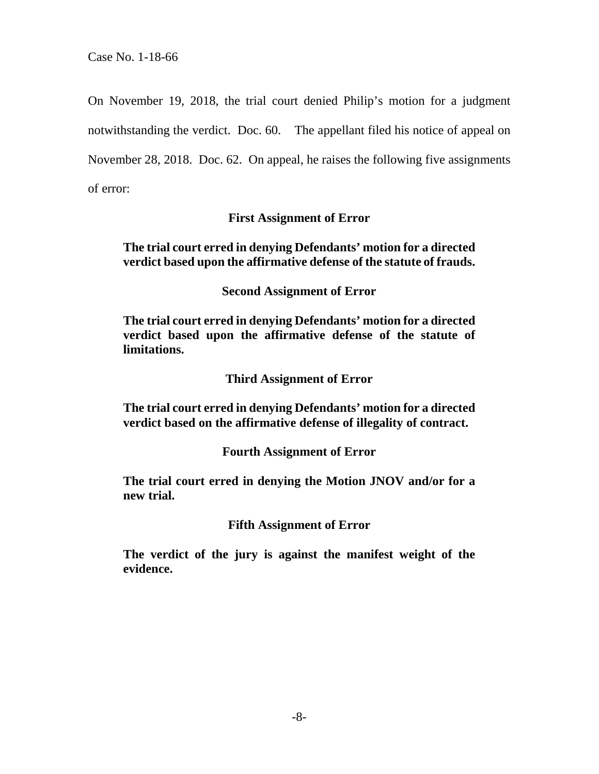On November 19, 2018, the trial court denied Philip's motion for a judgment notwithstanding the verdict. Doc. 60. The appellant filed his notice of appeal on November 28, 2018. Doc. 62. On appeal, he raises the following five assignments of error:

## **First Assignment of Error**

## **The trial court erred in denying Defendants' motion for a directed verdict based upon the affirmative defense of the statute of frauds.**

**Second Assignment of Error** 

**The trial court erred in denying Defendants' motion for a directed verdict based upon the affirmative defense of the statute of limitations.** 

**Third Assignment of Error** 

**The trial court erred in denying Defendants' motion for a directed verdict based on the affirmative defense of illegality of contract.** 

# **Fourth Assignment of Error**

**The trial court erred in denying the Motion JNOV and/or for a new trial.** 

#### **Fifth Assignment of Error**

**The verdict of the jury is against the manifest weight of the evidence.**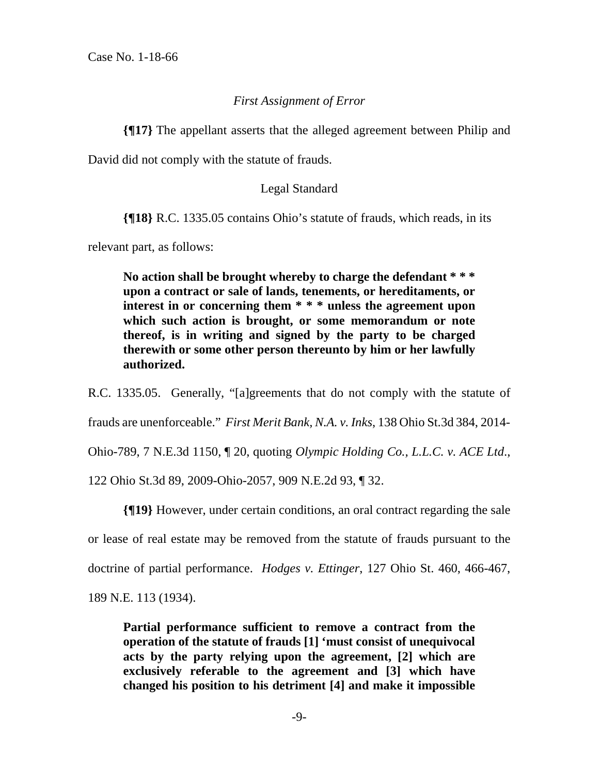#### *First Assignment of Error*

**{¶17}** The appellant asserts that the alleged agreement between Philip and

David did not comply with the statute of frauds.

#### Legal Standard

**{¶18}** R.C. 1335.05 contains Ohio's statute of frauds, which reads, in its

relevant part, as follows:

**No action shall be brought whereby to charge the defendant \* \* \* upon a contract or sale of lands, tenements, or hereditaments, or interest in or concerning them \* \* \* unless the agreement upon which such action is brought, or some memorandum or note thereof, is in writing and signed by the party to be charged therewith or some other person thereunto by him or her lawfully authorized.** 

R.C. 1335.05. Generally, "[a]greements that do not comply with the statute of

frauds are unenforceable." *First Merit Bank, N.A. v. Inks*, 138 Ohio St.3d 384, 2014-

Ohio-789, 7 N.E.3d 1150, ¶ 20, quoting *Olympic Holding Co., L.L.C. v. ACE Ltd*.,

122 Ohio St.3d 89, 2009-Ohio-2057, 909 N.E.2d 93, ¶ 32.

**{¶19}** However, under certain conditions, an oral contract regarding the sale or lease of real estate may be removed from the statute of frauds pursuant to the doctrine of partial performance. *Hodges v. Ettinger*, 127 Ohio St. 460, 466-467, 189 N.E. 113 (1934).

**Partial performance sufficient to remove a contract from the operation of the statute of frauds [1] 'must consist of unequivocal acts by the party relying upon the agreement, [2] which are exclusively referable to the agreement and [3] which have changed his position to his detriment [4] and make it impossible**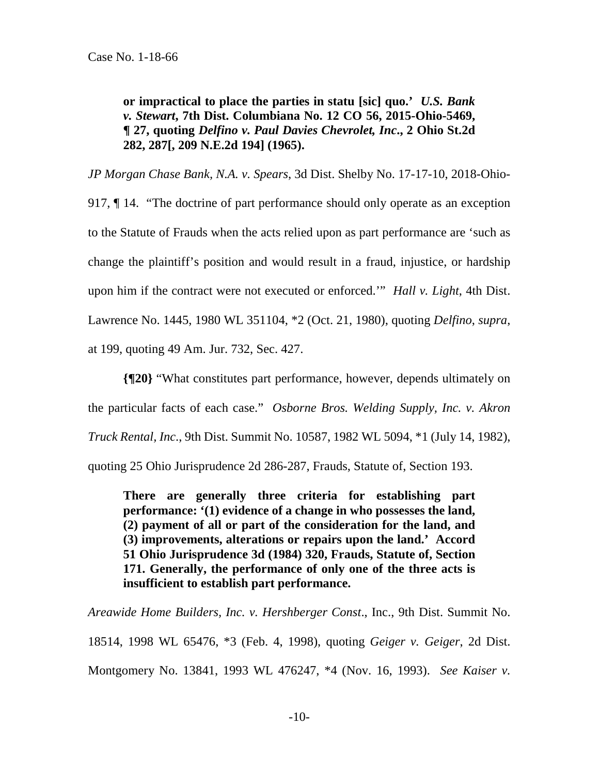**or impractical to place the parties in statu [sic] quo.'** *U.S. Bank v. Stewart***, 7th Dist. Columbiana No. 12 CO 56, 2015-Ohio-5469, ¶ 27, quoting** *Delfino v. Paul Davies Chevrolet, Inc***., 2 Ohio St.2d 282, 287[, 209 N.E.2d 194] (1965).** 

*JP Morgan Chase Bank, N.A. v. Spears*, 3d Dist. Shelby No. 17-17-10, 2018-Ohio-917, ¶ 14. "The doctrine of part performance should only operate as an exception to the Statute of Frauds when the acts relied upon as part performance are 'such as change the plaintiff's position and would result in a fraud, injustice, or hardship upon him if the contract were not executed or enforced.'" *Hall v. Light*, 4th Dist. Lawrence No. 1445, 1980 WL 351104, \*2 (Oct. 21, 1980), quoting *Delfino*, *supra*, at 199, quoting 49 Am. Jur. 732, Sec. 427.

**{¶20}** "What constitutes part performance, however, depends ultimately on the particular facts of each case." *Osborne Bros. Welding Supply, Inc. v. Akron Truck Rental, Inc*., 9th Dist. Summit No. 10587, 1982 WL 5094, \*1 (July 14, 1982), quoting 25 Ohio Jurisprudence 2d 286-287, Frauds, Statute of, Section 193.

**There are generally three criteria for establishing part performance: '(1) evidence of a change in who possesses the land, (2) payment of all or part of the consideration for the land, and (3) improvements, alterations or repairs upon the land.' Accord 51 Ohio Jurisprudence 3d (1984) 320, Frauds, Statute of, Section 171. Generally, the performance of only one of the three acts is insufficient to establish part performance.** 

*Areawide Home Builders, Inc. v. Hershberger Const*., Inc., 9th Dist. Summit No. 18514, 1998 WL 65476, \*3 (Feb. 4, 1998), quoting *Geiger v. Geiger*, 2d Dist. Montgomery No. 13841, 1993 WL 476247, \*4 (Nov. 16, 1993). *See Kaiser v.*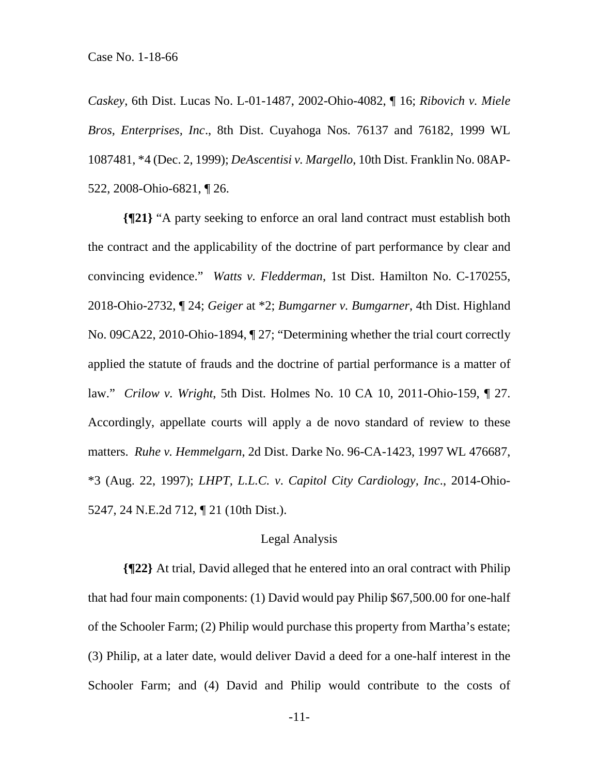*Caskey*, 6th Dist. Lucas No. L-01-1487, 2002-Ohio-4082, ¶ 16; *Ribovich v. Miele Bros, Enterprises, Inc*., 8th Dist. Cuyahoga Nos. 76137 and 76182, 1999 WL 1087481, \*4 (Dec. 2, 1999); *DeAscentisi v. Margello*, 10th Dist. Franklin No. 08AP-522, 2008-Ohio-6821, ¶ 26.

**{¶21}** "A party seeking to enforce an oral land contract must establish both the contract and the applicability of the doctrine of part performance by clear and convincing evidence." *Watts v. Fledderman*, 1st Dist. Hamilton No. C-170255, 2018-Ohio-2732, ¶ 24; *Geiger* at \*2; *Bumgarner v. Bumgarner*, 4th Dist. Highland No. 09CA22, 2010-Ohio-1894, ¶ 27; "Determining whether the trial court correctly applied the statute of frauds and the doctrine of partial performance is a matter of law." *Crilow v. Wright*, 5th Dist. Holmes No. 10 CA 10, 2011-Ohio-159, ¶ 27. Accordingly, appellate courts will apply a de novo standard of review to these matters. *Ruhe v. Hemmelgarn*, 2d Dist. Darke No. 96-CA-1423, 1997 WL 476687, \*3 (Aug. 22, 1997); *LHPT, L.L.C. v*. *Capitol City Cardiology, Inc*., 2014-Ohio-5247, 24 N.E.2d 712, ¶ 21 (10th Dist.).

#### Legal Analysis

**{¶22}** At trial, David alleged that he entered into an oral contract with Philip that had four main components: (1) David would pay Philip \$67,500.00 for one-half of the Schooler Farm; (2) Philip would purchase this property from Martha's estate; (3) Philip, at a later date, would deliver David a deed for a one-half interest in the Schooler Farm; and (4) David and Philip would contribute to the costs of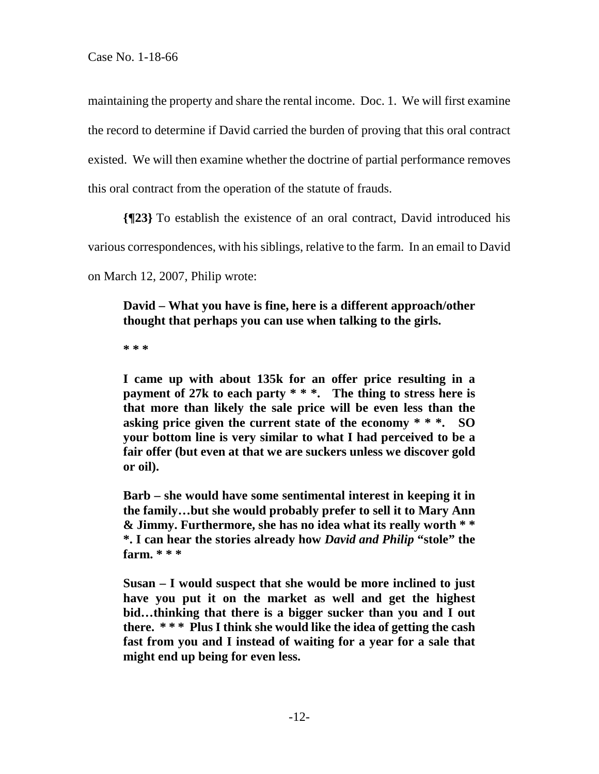maintaining the property and share the rental income. Doc. 1. We will first examine the record to determine if David carried the burden of proving that this oral contract existed. We will then examine whether the doctrine of partial performance removes this oral contract from the operation of the statute of frauds.

**{¶23}** To establish the existence of an oral contract, David introduced his

various correspondences, with his siblings, relative to the farm. In an email to David

on March 12, 2007, Philip wrote:

**David – What you have is fine, here is a different approach/other thought that perhaps you can use when talking to the girls.** 

**\* \* \*** 

**I came up with about 135k for an offer price resulting in a payment of 27k to each party \* \* \*. The thing to stress here is that more than likely the sale price will be even less than the asking price given the current state of the economy \* \* \*. SO your bottom line is very similar to what I had perceived to be a fair offer (but even at that we are suckers unless we discover gold or oil).** 

**Barb – she would have some sentimental interest in keeping it in the family…but she would probably prefer to sell it to Mary Ann & Jimmy. Furthermore, she has no idea what its really worth \* \* \*. I can hear the stories already how** *David and Philip* **"stole" the farm. \* \* \*** 

**Susan – I would suspect that she would be more inclined to just have you put it on the market as well and get the highest bid…thinking that there is a bigger sucker than you and I out there. \* \* \* Plus I think she would like the idea of getting the cash fast from you and I instead of waiting for a year for a sale that might end up being for even less.**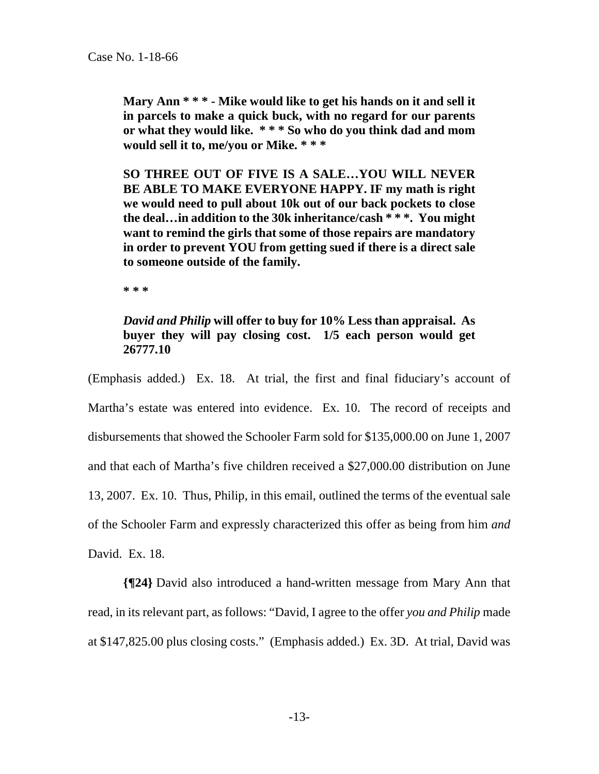**Mary Ann \* \* \* - Mike would like to get his hands on it and sell it in parcels to make a quick buck, with no regard for our parents or what they would like. \* \* \* So who do you think dad and mom would sell it to, me/you or Mike. \* \* \*** 

**SO THREE OUT OF FIVE IS A SALE…YOU WILL NEVER BE ABLE TO MAKE EVERYONE HAPPY. IF my math is right we would need to pull about 10k out of our back pockets to close the deal…in addition to the 30k inheritance/cash \* \* \*. You might want to remind the girls that some of those repairs are mandatory in order to prevent YOU from getting sued if there is a direct sale to someone outside of the family.** 

**\* \* \*** 

# *David and Philip* **will offer to buy for 10% Less than appraisal. As buyer they will pay closing cost. 1/5 each person would get 26777.10**

(Emphasis added.) Ex. 18. At trial, the first and final fiduciary's account of Martha's estate was entered into evidence. Ex. 10. The record of receipts and disbursements that showed the Schooler Farm sold for \$135,000.00 on June 1, 2007 and that each of Martha's five children received a \$27,000.00 distribution on June 13, 2007. Ex. 10. Thus, Philip, in this email, outlined the terms of the eventual sale of the Schooler Farm and expressly characterized this offer as being from him *and* David. Ex. 18.

**{¶24}** David also introduced a hand-written message from Mary Ann that read, in its relevant part, as follows: "David, I agree to the offer *you and Philip* made at \$147,825.00 plus closing costs." (Emphasis added.) Ex. 3D. At trial, David was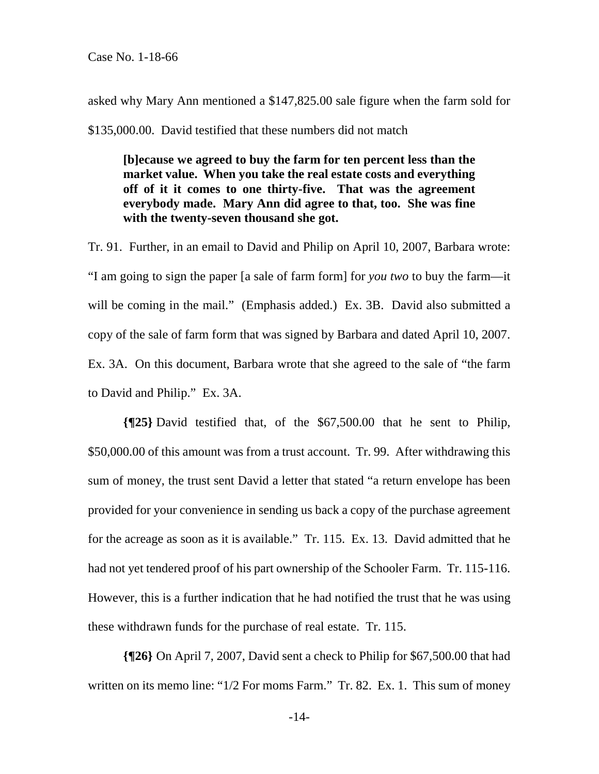asked why Mary Ann mentioned a \$147,825.00 sale figure when the farm sold for \$135,000.00. David testified that these numbers did not match

**[b]ecause we agreed to buy the farm for ten percent less than the market value. When you take the real estate costs and everything off of it it comes to one thirty-five. That was the agreement everybody made. Mary Ann did agree to that, too. She was fine with the twenty-seven thousand she got.** 

Tr. 91. Further, in an email to David and Philip on April 10, 2007, Barbara wrote: "I am going to sign the paper [a sale of farm form] for *you two* to buy the farm—it will be coming in the mail." (Emphasis added.) Ex. 3B. David also submitted a copy of the sale of farm form that was signed by Barbara and dated April 10, 2007. Ex. 3A. On this document, Barbara wrote that she agreed to the sale of "the farm to David and Philip." Ex. 3A.

**{¶25}** David testified that, of the \$67,500.00 that he sent to Philip, \$50,000.00 of this amount was from a trust account. Tr. 99. After withdrawing this sum of money, the trust sent David a letter that stated "a return envelope has been provided for your convenience in sending us back a copy of the purchase agreement for the acreage as soon as it is available." Tr. 115. Ex. 13. David admitted that he had not yet tendered proof of his part ownership of the Schooler Farm. Tr. 115-116. However, this is a further indication that he had notified the trust that he was using these withdrawn funds for the purchase of real estate. Tr. 115.

**{¶26}** On April 7, 2007, David sent a check to Philip for \$67,500.00 that had written on its memo line: "1/2 For moms Farm." Tr. 82. Ex. 1. This sum of money

-14-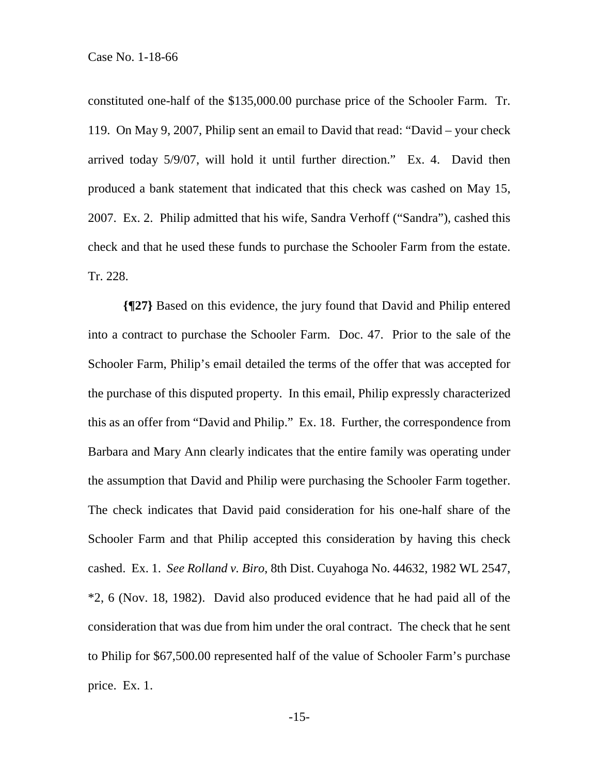constituted one-half of the \$135,000.00 purchase price of the Schooler Farm. Tr. 119. On May 9, 2007, Philip sent an email to David that read: "David – your check arrived today 5/9/07, will hold it until further direction." Ex. 4. David then produced a bank statement that indicated that this check was cashed on May 15, 2007. Ex. 2. Philip admitted that his wife, Sandra Verhoff ("Sandra"), cashed this check and that he used these funds to purchase the Schooler Farm from the estate. Tr. 228.

**{¶27}** Based on this evidence, the jury found that David and Philip entered into a contract to purchase the Schooler Farm. Doc. 47. Prior to the sale of the Schooler Farm, Philip's email detailed the terms of the offer that was accepted for the purchase of this disputed property. In this email, Philip expressly characterized this as an offer from "David and Philip." Ex. 18. Further, the correspondence from Barbara and Mary Ann clearly indicates that the entire family was operating under the assumption that David and Philip were purchasing the Schooler Farm together. The check indicates that David paid consideration for his one-half share of the Schooler Farm and that Philip accepted this consideration by having this check cashed. Ex. 1. *See Rolland v. Biro*, 8th Dist. Cuyahoga No. 44632, 1982 WL 2547, \*2, 6 (Nov. 18, 1982). David also produced evidence that he had paid all of the consideration that was due from him under the oral contract. The check that he sent to Philip for \$67,500.00 represented half of the value of Schooler Farm's purchase price. Ex. 1.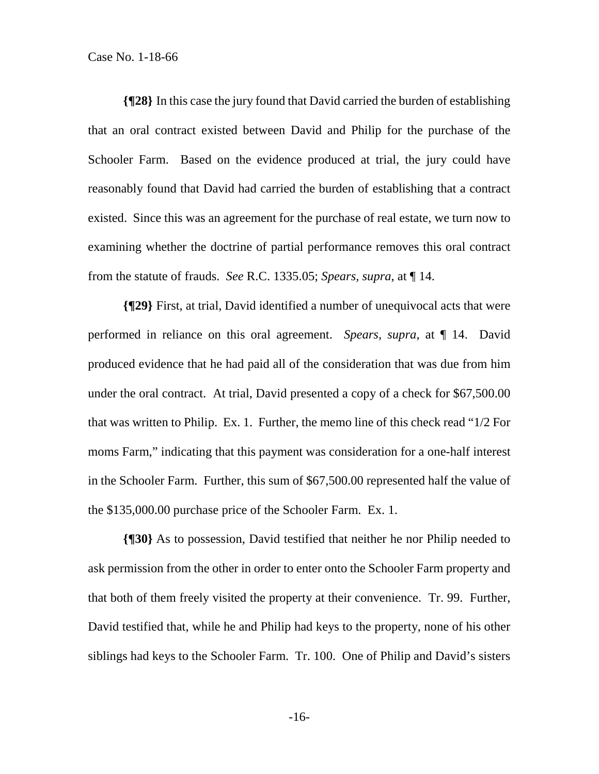**{¶28}** In this case the jury found that David carried the burden of establishing that an oral contract existed between David and Philip for the purchase of the Schooler Farm. Based on the evidence produced at trial, the jury could have reasonably found that David had carried the burden of establishing that a contract existed. Since this was an agreement for the purchase of real estate, we turn now to examining whether the doctrine of partial performance removes this oral contract from the statute of frauds. *See* R.C. 1335.05; *Spears, supra*, at ¶ 14.

**{¶29}** First, at trial, David identified a number of unequivocal acts that were performed in reliance on this oral agreement. *Spears, supra*, at ¶ 14. David produced evidence that he had paid all of the consideration that was due from him under the oral contract. At trial, David presented a copy of a check for \$67,500.00 that was written to Philip. Ex. 1. Further, the memo line of this check read "1/2 For moms Farm," indicating that this payment was consideration for a one-half interest in the Schooler Farm. Further, this sum of \$67,500.00 represented half the value of the \$135,000.00 purchase price of the Schooler Farm. Ex. 1.

**{¶30}** As to possession, David testified that neither he nor Philip needed to ask permission from the other in order to enter onto the Schooler Farm property and that both of them freely visited the property at their convenience. Tr. 99. Further, David testified that, while he and Philip had keys to the property, none of his other siblings had keys to the Schooler Farm. Tr. 100. One of Philip and David's sisters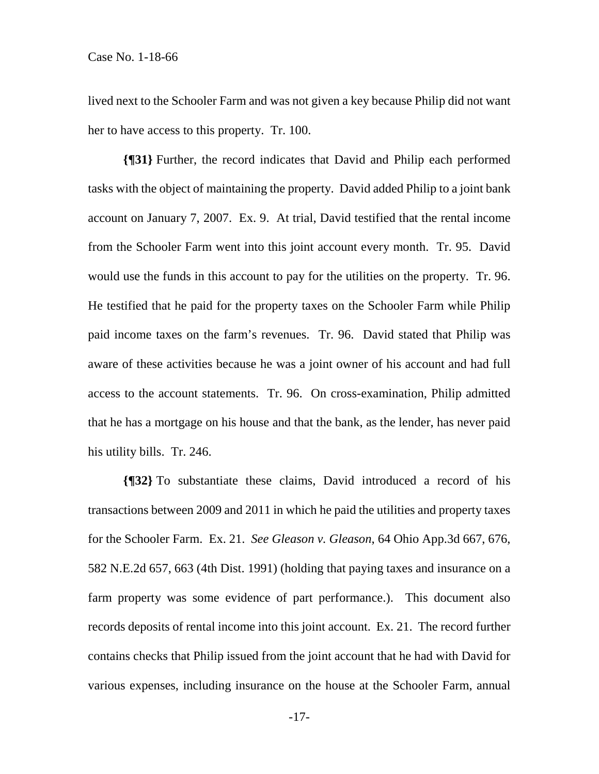lived next to the Schooler Farm and was not given a key because Philip did not want her to have access to this property. Tr. 100.

**{¶31}** Further, the record indicates that David and Philip each performed tasks with the object of maintaining the property. David added Philip to a joint bank account on January 7, 2007. Ex. 9. At trial, David testified that the rental income from the Schooler Farm went into this joint account every month. Tr. 95. David would use the funds in this account to pay for the utilities on the property. Tr. 96. He testified that he paid for the property taxes on the Schooler Farm while Philip paid income taxes on the farm's revenues. Tr. 96. David stated that Philip was aware of these activities because he was a joint owner of his account and had full access to the account statements. Tr. 96. On cross-examination, Philip admitted that he has a mortgage on his house and that the bank, as the lender, has never paid his utility bills. Tr. 246.

**{¶32}** To substantiate these claims, David introduced a record of his transactions between 2009 and 2011 in which he paid the utilities and property taxes for the Schooler Farm. Ex. 21. *See Gleason v. Gleason*, 64 Ohio App.3d 667, 676, 582 N.E.2d 657, 663 (4th Dist. 1991) (holding that paying taxes and insurance on a farm property was some evidence of part performance.). This document also records deposits of rental income into this joint account. Ex. 21. The record further contains checks that Philip issued from the joint account that he had with David for various expenses, including insurance on the house at the Schooler Farm, annual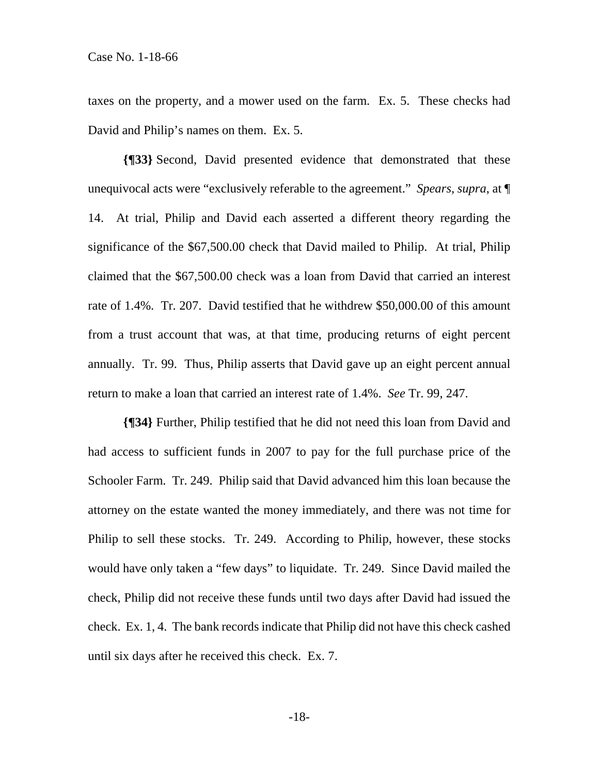taxes on the property, and a mower used on the farm. Ex. 5. These checks had David and Philip's names on them. Ex. 5.

**{¶33}** Second, David presented evidence that demonstrated that these unequivocal acts were "exclusively referable to the agreement." *Spears, supra*, at ¶ 14. At trial, Philip and David each asserted a different theory regarding the significance of the \$67,500.00 check that David mailed to Philip. At trial, Philip claimed that the \$67,500.00 check was a loan from David that carried an interest rate of 1.4%. Tr. 207. David testified that he withdrew \$50,000.00 of this amount from a trust account that was, at that time, producing returns of eight percent annually. Tr. 99. Thus, Philip asserts that David gave up an eight percent annual return to make a loan that carried an interest rate of 1.4%. *See* Tr. 99, 247.

**{¶34}** Further, Philip testified that he did not need this loan from David and had access to sufficient funds in 2007 to pay for the full purchase price of the Schooler Farm. Tr. 249. Philip said that David advanced him this loan because the attorney on the estate wanted the money immediately, and there was not time for Philip to sell these stocks. Tr. 249. According to Philip, however, these stocks would have only taken a "few days" to liquidate. Tr. 249. Since David mailed the check, Philip did not receive these funds until two days after David had issued the check. Ex. 1, 4. The bank records indicate that Philip did not have this check cashed until six days after he received this check. Ex. 7.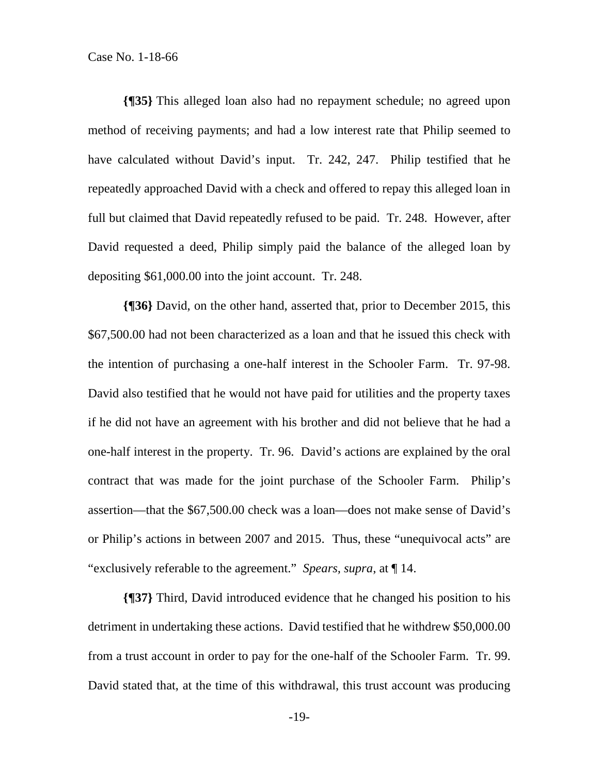**{¶35}** This alleged loan also had no repayment schedule; no agreed upon method of receiving payments; and had a low interest rate that Philip seemed to have calculated without David's input. Tr. 242, 247. Philip testified that he repeatedly approached David with a check and offered to repay this alleged loan in full but claimed that David repeatedly refused to be paid. Tr. 248. However, after David requested a deed, Philip simply paid the balance of the alleged loan by depositing \$61,000.00 into the joint account. Tr. 248.

**{¶36}** David, on the other hand, asserted that, prior to December 2015, this \$67,500.00 had not been characterized as a loan and that he issued this check with the intention of purchasing a one-half interest in the Schooler Farm. Tr. 97-98. David also testified that he would not have paid for utilities and the property taxes if he did not have an agreement with his brother and did not believe that he had a one-half interest in the property. Tr. 96. David's actions are explained by the oral contract that was made for the joint purchase of the Schooler Farm. Philip's assertion—that the \$67,500.00 check was a loan—does not make sense of David's or Philip's actions in between 2007 and 2015. Thus, these "unequivocal acts" are "exclusively referable to the agreement." *Spears, supra*, at ¶ 14.

**{¶37}** Third, David introduced evidence that he changed his position to his detriment in undertaking these actions. David testified that he withdrew \$50,000.00 from a trust account in order to pay for the one-half of the Schooler Farm. Tr. 99. David stated that, at the time of this withdrawal, this trust account was producing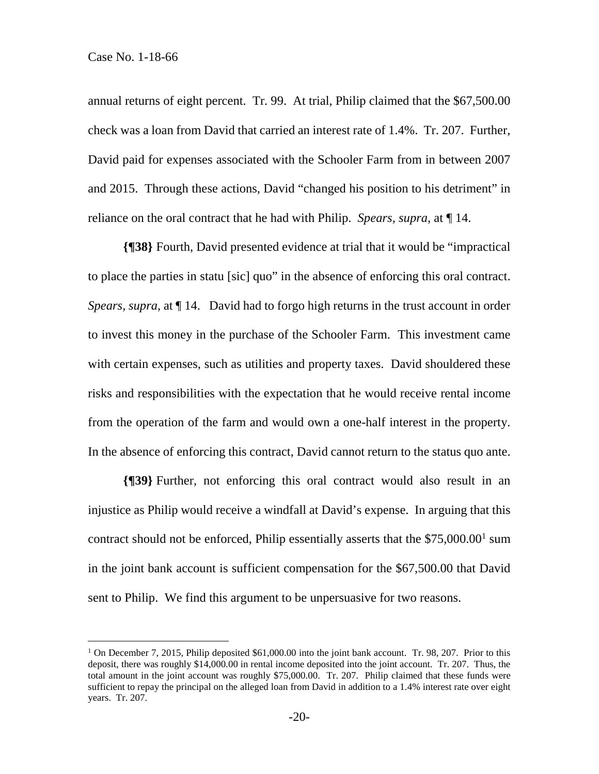$\overline{a}$ 

annual returns of eight percent. Tr. 99. At trial, Philip claimed that the \$67,500.00 check was a loan from David that carried an interest rate of 1.4%. Tr. 207. Further, David paid for expenses associated with the Schooler Farm from in between 2007 and 2015. Through these actions, David "changed his position to his detriment" in reliance on the oral contract that he had with Philip. *Spears, supra,* at ¶ 14.

**{¶38}** Fourth, David presented evidence at trial that it would be "impractical to place the parties in statu [sic] quo" in the absence of enforcing this oral contract. *Spears, supra*, at ¶ 14. David had to forgo high returns in the trust account in order to invest this money in the purchase of the Schooler Farm. This investment came with certain expenses, such as utilities and property taxes. David shouldered these risks and responsibilities with the expectation that he would receive rental income from the operation of the farm and would own a one-half interest in the property. In the absence of enforcing this contract, David cannot return to the status quo ante.

**{¶39}** Further, not enforcing this oral contract would also result in an injustice as Philip would receive a windfall at David's expense. In arguing that this contract should not be enforced, Philip essentially asserts that the  $$75,000.00<sup>1</sup>$  sum in the joint bank account is sufficient compensation for the \$67,500.00 that David sent to Philip. We find this argument to be unpersuasive for two reasons.

<sup>&</sup>lt;sup>1</sup> On December 7, 2015, Philip deposited \$61,000.00 into the joint bank account. Tr. 98, 207. Prior to this deposit, there was roughly \$14,000.00 in rental income deposited into the joint account. Tr. 207. Thus, the total amount in the joint account was roughly \$75,000.00. Tr. 207. Philip claimed that these funds were sufficient to repay the principal on the alleged loan from David in addition to a 1.4% interest rate over eight years. Tr. 207.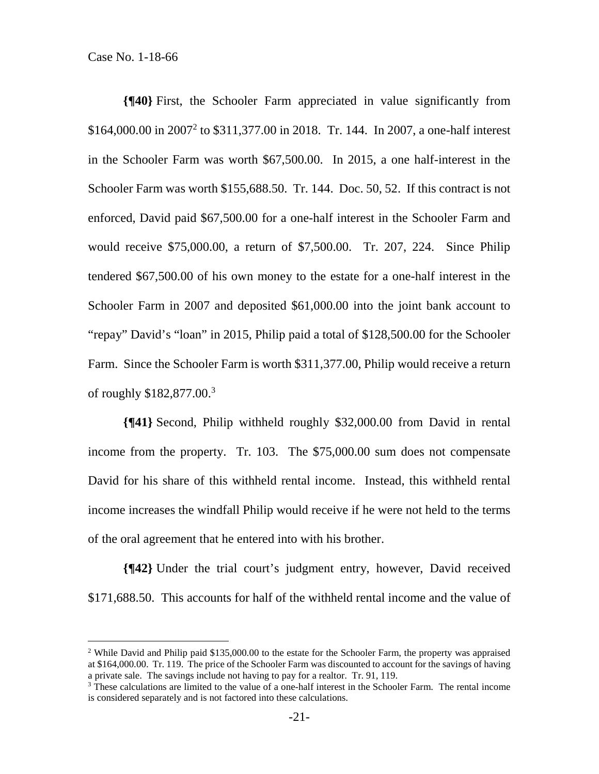$\overline{a}$ 

**{¶40}** First, the Schooler Farm appreciated in value significantly from \$164,000.00 in 2007<sup>2</sup> to \$311,377.00 in 2018. Tr. 144. In 2007, a one-half interest in the Schooler Farm was worth \$67,500.00. In 2015, a one half-interest in the Schooler Farm was worth \$155,688.50. Tr. 144. Doc. 50, 52. If this contract is not enforced, David paid \$67,500.00 for a one-half interest in the Schooler Farm and would receive \$75,000.00, a return of \$7,500.00. Tr. 207, 224. Since Philip tendered \$67,500.00 of his own money to the estate for a one-half interest in the Schooler Farm in 2007 and deposited \$61,000.00 into the joint bank account to "repay" David's "loan" in 2015, Philip paid a total of \$128,500.00 for the Schooler Farm. Since the Schooler Farm is worth \$311,377.00, Philip would receive a return of roughly \$182,877.00.3

**{¶41}** Second, Philip withheld roughly \$32,000.00 from David in rental income from the property. Tr. 103. The \$75,000.00 sum does not compensate David for his share of this withheld rental income. Instead, this withheld rental income increases the windfall Philip would receive if he were not held to the terms of the oral agreement that he entered into with his brother.

**{¶42}** Under the trial court's judgment entry, however, David received \$171,688.50. This accounts for half of the withheld rental income and the value of

<sup>&</sup>lt;sup>2</sup> While David and Philip paid  $$135,000.00$  to the estate for the Schooler Farm, the property was appraised at \$164,000.00. Tr. 119. The price of the Schooler Farm was discounted to account for the savings of having a private sale. The savings include not having to pay for a realtor. Tr. 91, 119.

<sup>&</sup>lt;sup>3</sup> These calculations are limited to the value of a one-half interest in the Schooler Farm. The rental income is considered separately and is not factored into these calculations.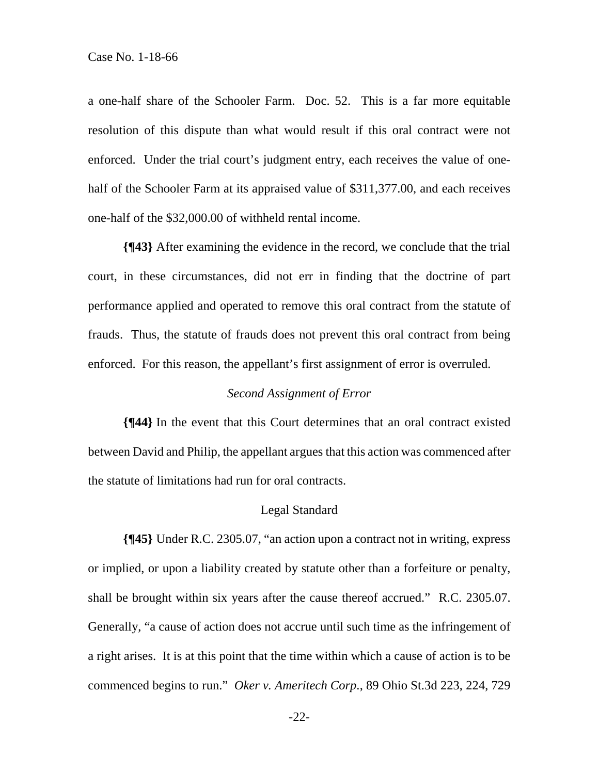a one-half share of the Schooler Farm. Doc. 52. This is a far more equitable resolution of this dispute than what would result if this oral contract were not enforced. Under the trial court's judgment entry, each receives the value of onehalf of the Schooler Farm at its appraised value of \$311,377.00, and each receives one-half of the \$32,000.00 of withheld rental income.

**{¶43}** After examining the evidence in the record, we conclude that the trial court, in these circumstances, did not err in finding that the doctrine of part performance applied and operated to remove this oral contract from the statute of frauds. Thus, the statute of frauds does not prevent this oral contract from being enforced. For this reason, the appellant's first assignment of error is overruled.

#### *Second Assignment of Error*

**{¶44}** In the event that this Court determines that an oral contract existed between David and Philip, the appellant argues that this action was commenced after the statute of limitations had run for oral contracts.

#### Legal Standard

**{¶45}** Under R.C. 2305.07, "an action upon a contract not in writing, express or implied, or upon a liability created by statute other than a forfeiture or penalty, shall be brought within six years after the cause thereof accrued." R.C. 2305.07. Generally, "a cause of action does not accrue until such time as the infringement of a right arises. It is at this point that the time within which a cause of action is to be commenced begins to run." *Oker v. Ameritech Corp*., 89 Ohio St.3d 223, 224, 729

-22-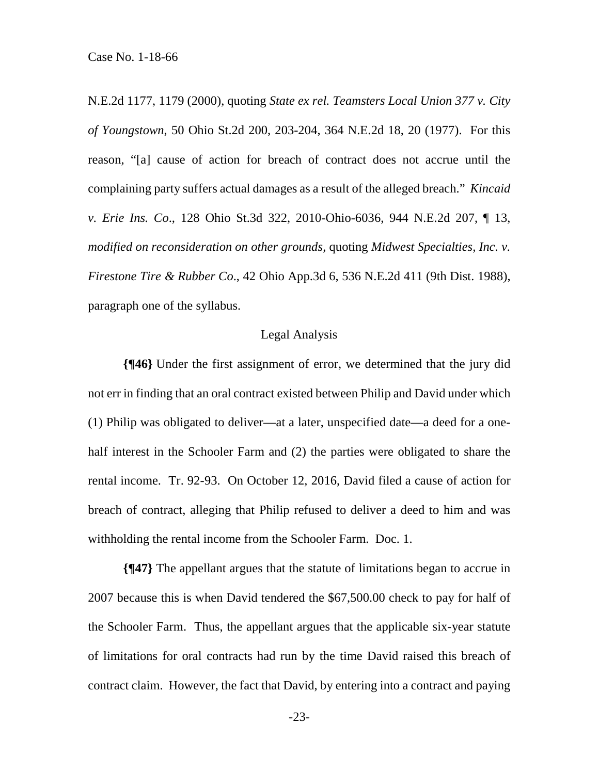N.E.2d 1177, 1179 (2000), quoting *State ex rel. Teamsters Local Union 377 v. City of Youngstown*, 50 Ohio St.2d 200, 203-204, 364 N.E.2d 18, 20 (1977). For this reason, "[a] cause of action for breach of contract does not accrue until the complaining party suffers actual damages as a result of the alleged breach." *Kincaid v. Erie Ins. Co*., 128 Ohio St.3d 322, 2010-Ohio-6036, 944 N.E.2d 207, ¶ 13, *modified on reconsideration on other grounds*, quoting *Midwest Specialties, Inc. v. Firestone Tire & Rubber Co*., 42 Ohio App.3d 6, 536 N.E.2d 411 (9th Dist. 1988), paragraph one of the syllabus.

#### Legal Analysis

**{¶46}** Under the first assignment of error, we determined that the jury did not err in finding that an oral contract existed between Philip and David under which (1) Philip was obligated to deliver—at a later, unspecified date—a deed for a onehalf interest in the Schooler Farm and (2) the parties were obligated to share the rental income. Tr. 92-93. On October 12, 2016, David filed a cause of action for breach of contract, alleging that Philip refused to deliver a deed to him and was withholding the rental income from the Schooler Farm. Doc. 1.

**{¶47}** The appellant argues that the statute of limitations began to accrue in 2007 because this is when David tendered the \$67,500.00 check to pay for half of the Schooler Farm. Thus, the appellant argues that the applicable six-year statute of limitations for oral contracts had run by the time David raised this breach of contract claim. However, the fact that David, by entering into a contract and paying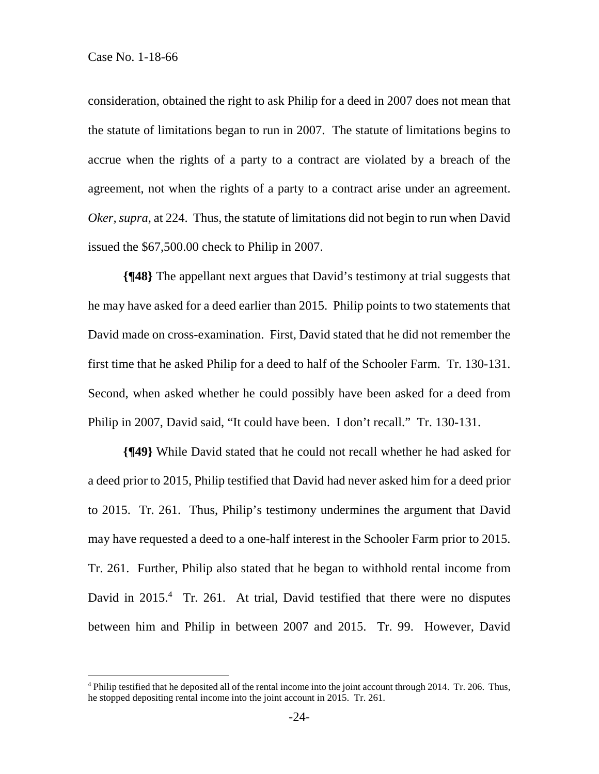$\overline{a}$ 

consideration, obtained the right to ask Philip for a deed in 2007 does not mean that the statute of limitations began to run in 2007. The statute of limitations begins to accrue when the rights of a party to a contract are violated by a breach of the agreement, not when the rights of a party to a contract arise under an agreement. *Oker, supra*, at 224. Thus, the statute of limitations did not begin to run when David issued the \$67,500.00 check to Philip in 2007.

**{¶48}** The appellant next argues that David's testimony at trial suggests that he may have asked for a deed earlier than 2015. Philip points to two statements that David made on cross-examination. First, David stated that he did not remember the first time that he asked Philip for a deed to half of the Schooler Farm. Tr. 130-131. Second, when asked whether he could possibly have been asked for a deed from Philip in 2007, David said, "It could have been. I don't recall." Tr. 130-131.

**{¶49}** While David stated that he could not recall whether he had asked for a deed prior to 2015, Philip testified that David had never asked him for a deed prior to 2015. Tr. 261. Thus, Philip's testimony undermines the argument that David may have requested a deed to a one-half interest in the Schooler Farm prior to 2015. Tr. 261. Further, Philip also stated that he began to withhold rental income from David in 2015.<sup>4</sup> Tr. 261. At trial, David testified that there were no disputes between him and Philip in between 2007 and 2015. Tr. 99. However, David

<sup>&</sup>lt;sup>4</sup> Philip testified that he deposited all of the rental income into the joint account through 2014. Tr. 206. Thus, he stopped depositing rental income into the joint account in 2015. Tr. 261.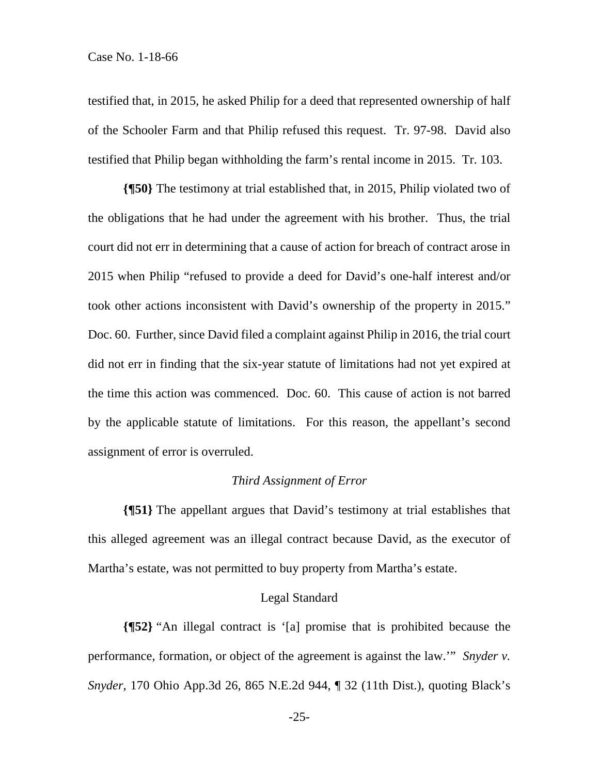testified that, in 2015, he asked Philip for a deed that represented ownership of half of the Schooler Farm and that Philip refused this request. Tr. 97-98. David also testified that Philip began withholding the farm's rental income in 2015. Tr. 103.

**{¶50}** The testimony at trial established that, in 2015, Philip violated two of the obligations that he had under the agreement with his brother. Thus, the trial court did not err in determining that a cause of action for breach of contract arose in 2015 when Philip "refused to provide a deed for David's one-half interest and/or took other actions inconsistent with David's ownership of the property in 2015." Doc. 60. Further, since David filed a complaint against Philip in 2016, the trial court did not err in finding that the six-year statute of limitations had not yet expired at the time this action was commenced. Doc. 60. This cause of action is not barred by the applicable statute of limitations. For this reason, the appellant's second assignment of error is overruled.

#### *Third Assignment of Error*

**{¶51}** The appellant argues that David's testimony at trial establishes that this alleged agreement was an illegal contract because David, as the executor of Martha's estate, was not permitted to buy property from Martha's estate.

#### Legal Standard

**{¶52}** "An illegal contract is '[a] promise that is prohibited because the performance, formation, or object of the agreement is against the law.'" *Snyder v. Snyder*, 170 Ohio App.3d 26, 865 N.E.2d 944, ¶ 32 (11th Dist.), quoting Black's

-25-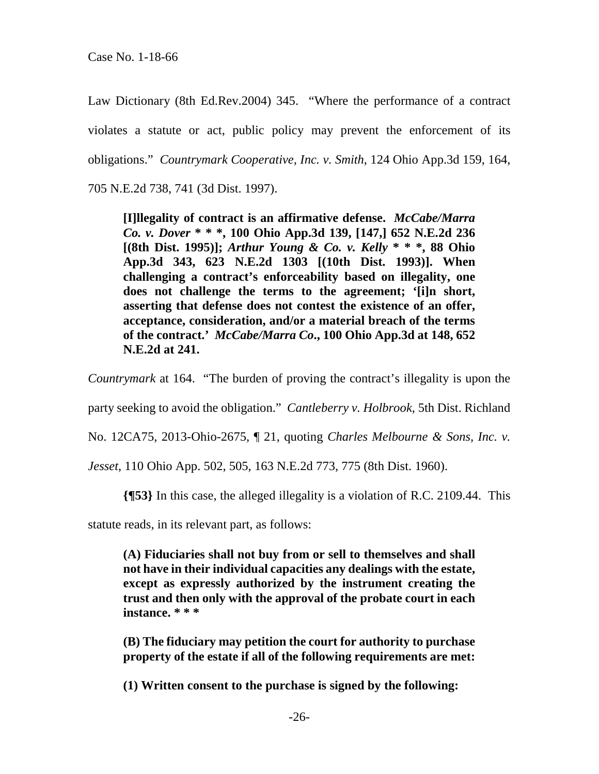Law Dictionary (8th Ed.Rev.2004) 345. "Where the performance of a contract violates a statute or act, public policy may prevent the enforcement of its obligations." *Countrymark Cooperative, Inc. v. Smith*, 124 Ohio App.3d 159, 164, 705 N.E.2d 738, 741 (3d Dist. 1997).

**[I]llegality of contract is an affirmative defense.** *McCabe/Marra Co. v. Dover* **\* \* \*, 100 Ohio App.3d 139, [147,] 652 N.E.2d 236 [(8th Dist. 1995)];** *Arthur Young & Co. v. Kelly* **\* \* \*, 88 Ohio App.3d 343, 623 N.E.2d 1303 [(10th Dist. 1993)]. When challenging a contract's enforceability based on illegality, one does not challenge the terms to the agreement; '[i]n short, asserting that defense does not contest the existence of an offer, acceptance, consideration, and/or a material breach of the terms of the contract.'** *McCabe/Marra Co***., 100 Ohio App.3d at 148, 652 N.E.2d at 241.** 

*Countrymark* at 164. "The burden of proving the contract's illegality is upon the

party seeking to avoid the obligation." *Cantleberry v. Holbrook*, 5th Dist. Richland

No. 12CA75, 2013-Ohio-2675, ¶ 21, quoting *Charles Melbourne & Sons, Inc. v.* 

*Jesset*, 110 Ohio App. 502, 505, 163 N.E.2d 773, 775 (8th Dist. 1960).

**{¶53}** In this case, the alleged illegality is a violation of R.C. 2109.44. This

statute reads, in its relevant part, as follows:

**(A) Fiduciaries shall not buy from or sell to themselves and shall not have in their individual capacities any dealings with the estate, except as expressly authorized by the instrument creating the trust and then only with the approval of the probate court in each instance. \* \* \*** 

**(B) The fiduciary may petition the court for authority to purchase property of the estate if all of the following requirements are met:** 

**(1) Written consent to the purchase is signed by the following:**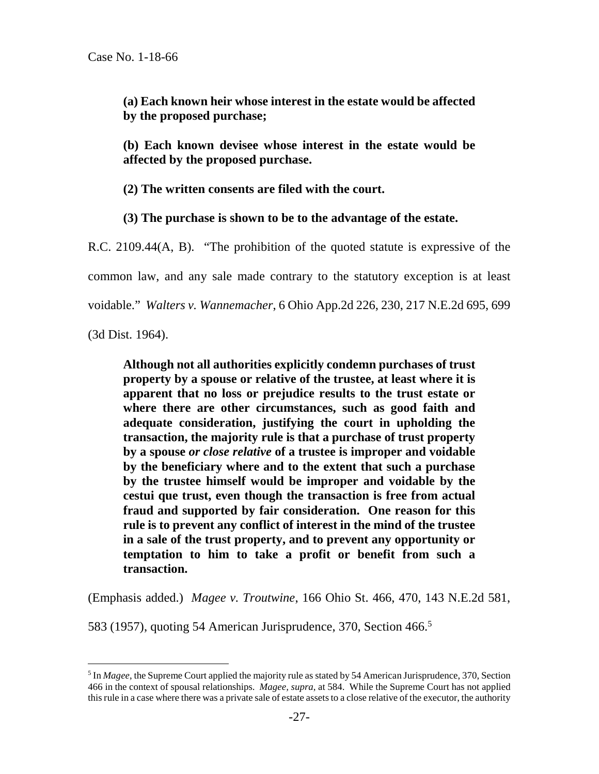**(a) Each known heir whose interest in the estate would be affected by the proposed purchase;** 

**(b) Each known devisee whose interest in the estate would be affected by the proposed purchase.** 

**(2) The written consents are filed with the court.** 

**(3) The purchase is shown to be to the advantage of the estate.** 

R.C. 2109.44(A, B). "The prohibition of the quoted statute is expressive of the common law, and any sale made contrary to the statutory exception is at least voidable." *Walters v. Wannemacher*, 6 Ohio App.2d 226, 230, 217 N.E.2d 695, 699

(3d Dist. 1964).

 $\overline{a}$ 

**Although not all authorities explicitly condemn purchases of trust property by a spouse or relative of the trustee, at least where it is apparent that no loss or prejudice results to the trust estate or where there are other circumstances, such as good faith and adequate consideration, justifying the court in upholding the transaction, the majority rule is that a purchase of trust property by a spouse** *or close relative* **of a trustee is improper and voidable by the beneficiary where and to the extent that such a purchase by the trustee himself would be improper and voidable by the cestui que trust, even though the transaction is free from actual fraud and supported by fair consideration. One reason for this rule is to prevent any conflict of interest in the mind of the trustee in a sale of the trust property, and to prevent any opportunity or temptation to him to take a profit or benefit from such a transaction.** 

(Emphasis added.) *Magee v. Troutwine*, 166 Ohio St. 466, 470, 143 N.E.2d 581,

583 (1957), quoting 54 American Jurisprudence, 370, Section 466.<sup>5</sup>

<sup>&</sup>lt;sup>5</sup> In *Magee*, the Supreme Court applied the majority rule as stated by 54 American Jurisprudence, 370, Section 466 in the context of spousal relationships. *Magee, supra*, at 584. While the Supreme Court has not applied this rule in a case where there was a private sale of estate assets to a close relative of the executor, the authority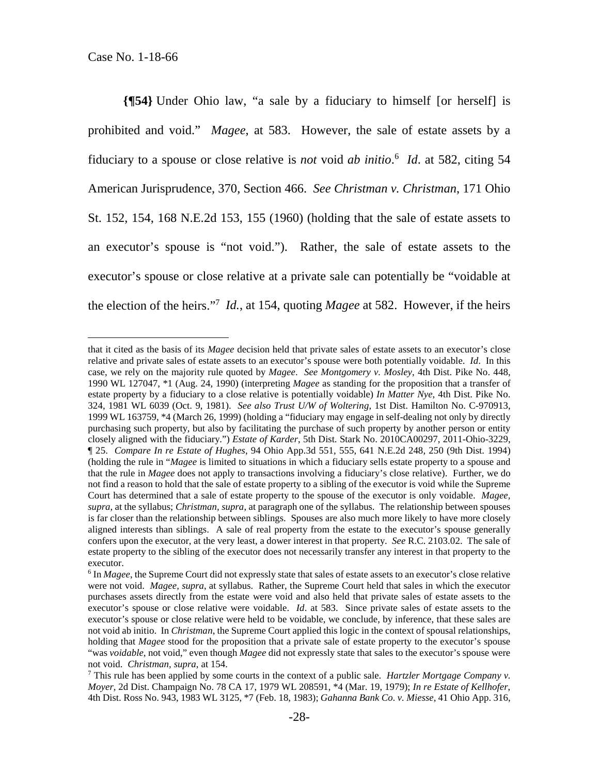$\overline{a}$ 

**{¶54}** Under Ohio law, "a sale by a fiduciary to himself [or herself] is prohibited and void." *Magee*, at 583. However, the sale of estate assets by a fiduciary to a spouse or close relative is *not* void *ab initio*. 6 *Id*. at 582, citing 54 American Jurisprudence, 370, Section 466. *See Christman v. Christman*, 171 Ohio St. 152, 154, 168 N.E.2d 153, 155 (1960) (holding that the sale of estate assets to an executor's spouse is "not void."). Rather, the sale of estate assets to the executor's spouse or close relative at a private sale can potentially be "voidable at the election of the heirs."7 *Id.*, at 154, quoting *Magee* at 582. However, if the heirs

that it cited as the basis of its *Magee* decision held that private sales of estate assets to an executor's close relative and private sales of estate assets to an executor's spouse were both potentially voidable. *Id*. In this case, we rely on the majority rule quoted by *Magee*. *See Montgomery v. Mosley*, 4th Dist. Pike No. 448, 1990 WL 127047, \*1 (Aug. 24, 1990) (interpreting *Magee* as standing for the proposition that a transfer of estate property by a fiduciary to a close relative is potentially voidable) *In Matter Nye*, 4th Dist. Pike No. 324, 1981 WL 6039 (Oct. 9, 1981). *See also Trust U/W of Woltering*, 1st Dist. Hamilton No. C-970913, 1999 WL 163759, \*4 (March 26, 1999) (holding a "fiduciary may engage in self-dealing not only by directly purchasing such property, but also by facilitating the purchase of such property by another person or entity closely aligned with the fiduciary.") *Estate of Karder*, 5th Dist. Stark No. 2010CA00297, 2011-Ohio-3229, ¶ 25. *Compare In re Estate of Hughes*, 94 Ohio App.3d 551, 555, 641 N.E.2d 248, 250 (9th Dist. 1994) (holding the rule in "*Magee* is limited to situations in which a fiduciary sells estate property to a spouse and that the rule in *Magee* does not apply to transactions involving a fiduciary's close relative). Further, we do not find a reason to hold that the sale of estate property to a sibling of the executor is void while the Supreme Court has determined that a sale of estate property to the spouse of the executor is only voidable. *Magee, supra*, at the syllabus; *Christman, supra*, at paragraph one of the syllabus. The relationship between spouses is far closer than the relationship between siblings. Spouses are also much more likely to have more closely aligned interests than siblings. A sale of real property from the estate to the executor's spouse generally confers upon the executor, at the very least, a dower interest in that property. *See* R.C. 2103.02. The sale of estate property to the sibling of the executor does not necessarily transfer any interest in that property to the executor.

<sup>&</sup>lt;sup>6</sup> In *Magee*, the Supreme Court did not expressly state that sales of estate assets to an executor's close relative were not void. *Magee, supra*, at syllabus. Rather, the Supreme Court held that sales in which the executor purchases assets directly from the estate were void and also held that private sales of estate assets to the executor's spouse or close relative were voidable. *Id*. at 583. Since private sales of estate assets to the executor's spouse or close relative were held to be voidable, we conclude, by inference, that these sales are not void ab initio. In *Christman*, the Supreme Court applied this logic in the context of spousal relationships, holding that *Magee* stood for the proposition that a private sale of estate property to the executor's spouse "was *voidable*, not void," even though *Magee* did not expressly state that sales to the executor's spouse were not void. *Christman, supra*, at 154. 7

This rule has been applied by some courts in the context of a public sale. *Hartzler Mortgage Company v. Moyer,* 2d Dist. Champaign No. 78 CA 17, 1979 WL 208591, \*4 (Mar. 19, 1979); *In re Estate of Kellhofer*, 4th Dist. Ross No. 943, 1983 WL 3125, \*7 (Feb. 18, 1983); *Gahanna Bank Co. v. Miesse*, 41 Ohio App. 316,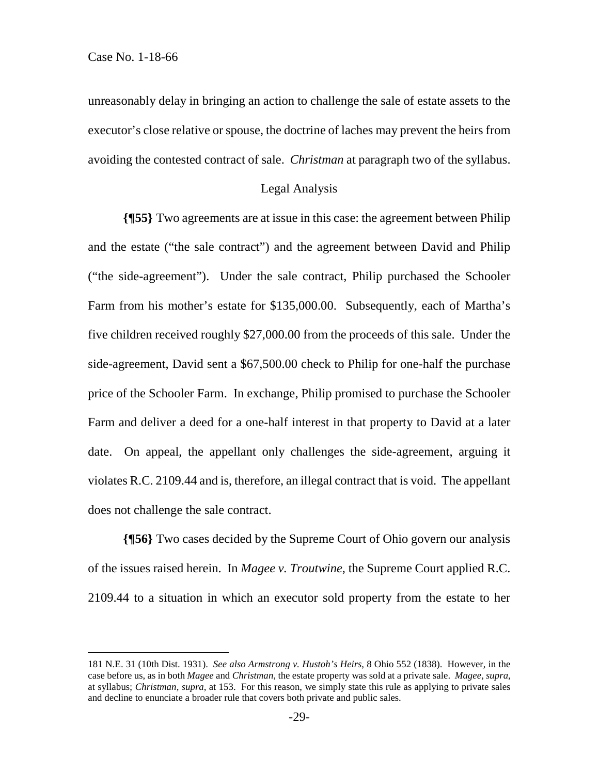$\overline{a}$ 

unreasonably delay in bringing an action to challenge the sale of estate assets to the executor's close relative or spouse, the doctrine of laches may prevent the heirs from avoiding the contested contract of sale. *Christman* at paragraph two of the syllabus.

#### Legal Analysis

**{¶55}** Two agreements are at issue in this case: the agreement between Philip and the estate ("the sale contract") and the agreement between David and Philip ("the side-agreement"). Under the sale contract, Philip purchased the Schooler Farm from his mother's estate for \$135,000.00. Subsequently, each of Martha's five children received roughly \$27,000.00 from the proceeds of this sale. Under the side-agreement, David sent a \$67,500.00 check to Philip for one-half the purchase price of the Schooler Farm. In exchange, Philip promised to purchase the Schooler Farm and deliver a deed for a one-half interest in that property to David at a later date. On appeal, the appellant only challenges the side-agreement, arguing it violates R.C. 2109.44 and is, therefore, an illegal contract that is void. The appellant does not challenge the sale contract.

**{¶56}** Two cases decided by the Supreme Court of Ohio govern our analysis of the issues raised herein. In *Magee v. Troutwine*, the Supreme Court applied R.C. 2109.44 to a situation in which an executor sold property from the estate to her

<sup>181</sup> N.E. 31 (10th Dist. 1931). *See also Armstrong v. Hustoh's Heirs*, 8 Ohio 552 (1838). However, in the case before us, as in both *Magee* and *Christman*, the estate property was sold at a private sale. *Magee, supra*, at syllabus; *Christman, supra*, at 153. For this reason, we simply state this rule as applying to private sales and decline to enunciate a broader rule that covers both private and public sales.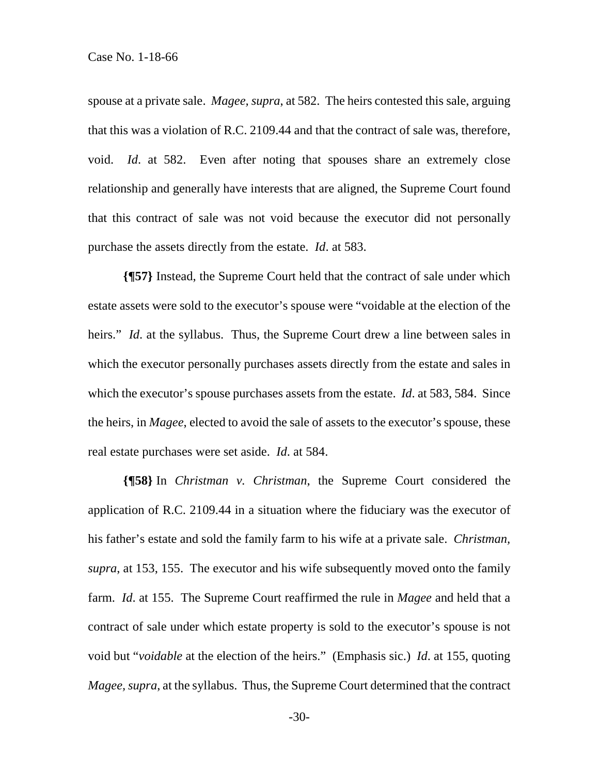spouse at a private sale. *Magee, supra*, at 582. The heirs contested this sale, arguing that this was a violation of R.C. 2109.44 and that the contract of sale was, therefore, void. *Id*. at 582. Even after noting that spouses share an extremely close relationship and generally have interests that are aligned, the Supreme Court found that this contract of sale was not void because the executor did not personally purchase the assets directly from the estate. *Id*. at 583.

**{¶57}** Instead, the Supreme Court held that the contract of sale under which estate assets were sold to the executor's spouse were "voidable at the election of the heirs." *Id*. at the syllabus. Thus, the Supreme Court drew a line between sales in which the executor personally purchases assets directly from the estate and sales in which the executor's spouse purchases assets from the estate. *Id*. at 583, 584. Since the heirs, in *Magee*, elected to avoid the sale of assets to the executor's spouse, these real estate purchases were set aside. *Id*. at 584.

**{¶58}** In *Christman v. Christman*, the Supreme Court considered the application of R.C. 2109.44 in a situation where the fiduciary was the executor of his father's estate and sold the family farm to his wife at a private sale. *Christman, supra*, at 153, 155. The executor and his wife subsequently moved onto the family farm. *Id*. at 155. The Supreme Court reaffirmed the rule in *Magee* and held that a contract of sale under which estate property is sold to the executor's spouse is not void but "*voidable* at the election of the heirs." (Emphasis sic.) *Id*. at 155, quoting *Magee, supra*, at the syllabus. Thus, the Supreme Court determined that the contract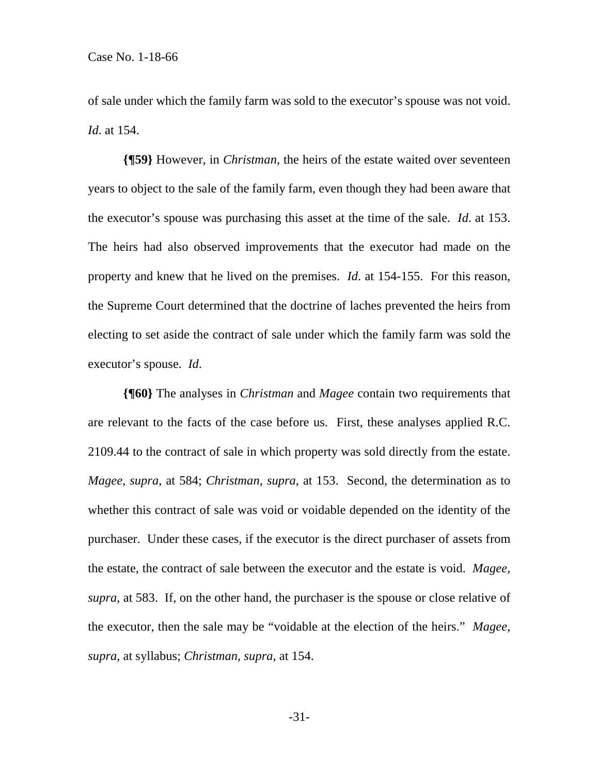of sale under which the family farm was sold to the executor's spouse was not void. *Id*. at 154.

**{¶59}** However, in *Christman*, the heirs of the estate waited over seventeen years to object to the sale of the family farm, even though they had been aware that the executor's spouse was purchasing this asset at the time of the sale. *Id*. at 153. The heirs had also observed improvements that the executor had made on the property and knew that he lived on the premises. *Id*. at 154-155. For this reason, the Supreme Court determined that the doctrine of laches prevented the heirs from electing to set aside the contract of sale under which the family farm was sold the executor's spouse. *Id*.

**{¶60}** The analyses in *Christman* and *Magee* contain two requirements that are relevant to the facts of the case before us. First, these analyses applied R.C. 2109.44 to the contract of sale in which property was sold directly from the estate. *Magee, supra*, at 584; *Christman, supra*, at 153. Second, the determination as to whether this contract of sale was void or voidable depended on the identity of the purchaser. Under these cases, if the executor is the direct purchaser of assets from the estate, the contract of sale between the executor and the estate is void. *Magee, supra,* at 583. If, on the other hand, the purchaser is the spouse or close relative of the executor, then the sale may be "voidable at the election of the heirs." *Magee, supra*, at syllabus; *Christman, supra*, at 154.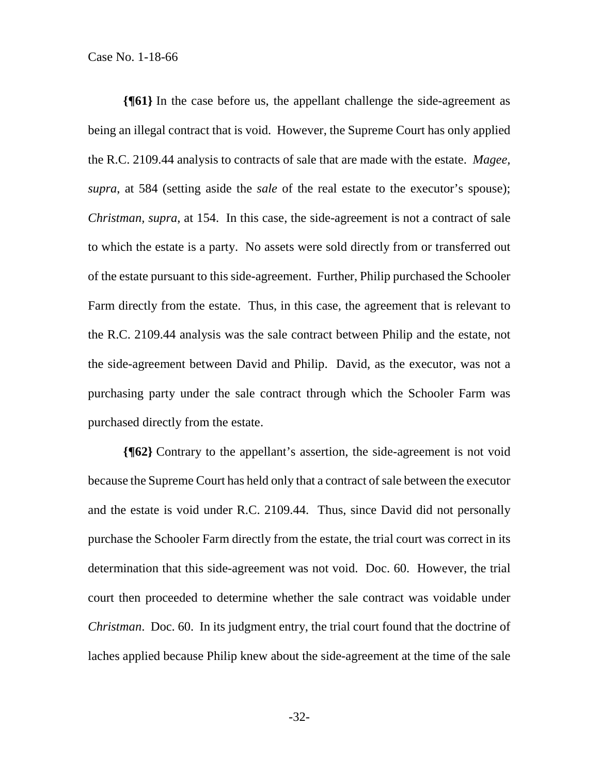**{¶61}** In the case before us, the appellant challenge the side-agreement as being an illegal contract that is void. However, the Supreme Court has only applied the R.C. 2109.44 analysis to contracts of sale that are made with the estate. *Magee, supra*, at 584 (setting aside the *sale* of the real estate to the executor's spouse); *Christman, supra*, at 154. In this case, the side-agreement is not a contract of sale to which the estate is a party. No assets were sold directly from or transferred out of the estate pursuant to this side-agreement. Further, Philip purchased the Schooler Farm directly from the estate. Thus, in this case, the agreement that is relevant to the R.C. 2109.44 analysis was the sale contract between Philip and the estate, not the side-agreement between David and Philip. David, as the executor, was not a purchasing party under the sale contract through which the Schooler Farm was purchased directly from the estate.

**{¶62}** Contrary to the appellant's assertion, the side-agreement is not void because the Supreme Court has held only that a contract of sale between the executor and the estate is void under R.C. 2109.44. Thus, since David did not personally purchase the Schooler Farm directly from the estate, the trial court was correct in its determination that this side-agreement was not void. Doc. 60. However, the trial court then proceeded to determine whether the sale contract was voidable under *Christman*. Doc. 60. In its judgment entry, the trial court found that the doctrine of laches applied because Philip knew about the side-agreement at the time of the sale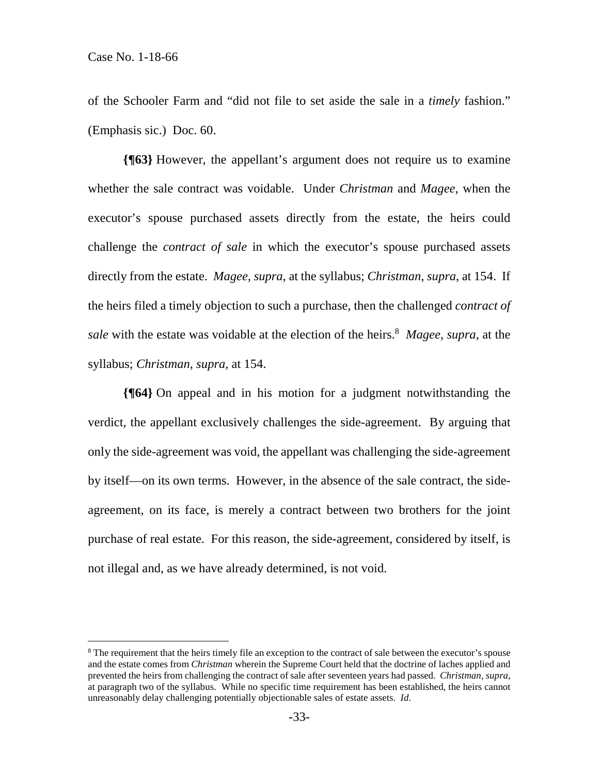$\overline{a}$ 

of the Schooler Farm and "did not file to set aside the sale in a *timely* fashion." (Emphasis sic.) Doc. 60.

**{¶63}** However, the appellant's argument does not require us to examine whether the sale contract was voidable. Under *Christman* and *Magee*, when the executor's spouse purchased assets directly from the estate, the heirs could challenge the *contract of sale* in which the executor's spouse purchased assets directly from the estate. *Magee, supra*, at the syllabus; *Christman*, *supra*, at 154. If the heirs filed a timely objection to such a purchase, then the challenged *contract of*  sale with the estate was voidable at the election of the heirs.<sup>8</sup> Magee, supra, at the syllabus; *Christman, supra*, at 154.

**{¶64}** On appeal and in his motion for a judgment notwithstanding the verdict, the appellant exclusively challenges the side-agreement. By arguing that only the side-agreement was void, the appellant was challenging the side-agreement by itself—on its own terms. However, in the absence of the sale contract, the sideagreement, on its face, is merely a contract between two brothers for the joint purchase of real estate. For this reason, the side-agreement, considered by itself, is not illegal and, as we have already determined, is not void.

<sup>&</sup>lt;sup>8</sup> The requirement that the heirs timely file an exception to the contract of sale between the executor's spouse and the estate comes from *Christman* wherein the Supreme Court held that the doctrine of laches applied and prevented the heirs from challenging the contract of sale after seventeen years had passed. *Christman, supra*, at paragraph two of the syllabus. While no specific time requirement has been established, the heirs cannot unreasonably delay challenging potentially objectionable sales of estate assets. *Id*.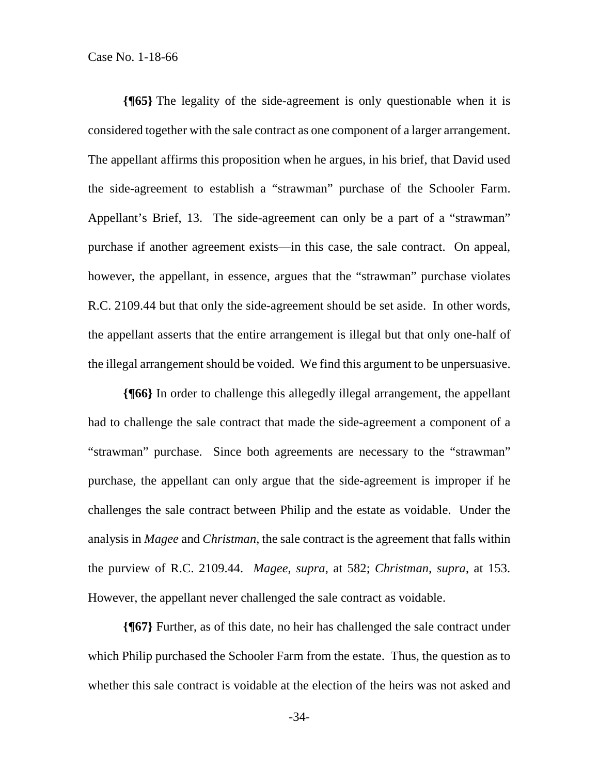**{¶65}** The legality of the side-agreement is only questionable when it is considered together with the sale contract as one component of a larger arrangement. The appellant affirms this proposition when he argues, in his brief, that David used the side-agreement to establish a "strawman" purchase of the Schooler Farm. Appellant's Brief, 13. The side-agreement can only be a part of a "strawman" purchase if another agreement exists—in this case, the sale contract. On appeal, however, the appellant, in essence, argues that the "strawman" purchase violates R.C. 2109.44 but that only the side-agreement should be set aside. In other words, the appellant asserts that the entire arrangement is illegal but that only one-half of the illegal arrangement should be voided. We find this argument to be unpersuasive.

**{¶66}** In order to challenge this allegedly illegal arrangement, the appellant had to challenge the sale contract that made the side-agreement a component of a "strawman" purchase. Since both agreements are necessary to the "strawman" purchase, the appellant can only argue that the side-agreement is improper if he challenges the sale contract between Philip and the estate as voidable. Under the analysis in *Magee* and *Christman*, the sale contract is the agreement that falls within the purview of R.C. 2109.44. *Magee, supra*, at 582; *Christman, supra*, at 153. However, the appellant never challenged the sale contract as voidable.

**{¶67}** Further, as of this date, no heir has challenged the sale contract under which Philip purchased the Schooler Farm from the estate. Thus, the question as to whether this sale contract is voidable at the election of the heirs was not asked and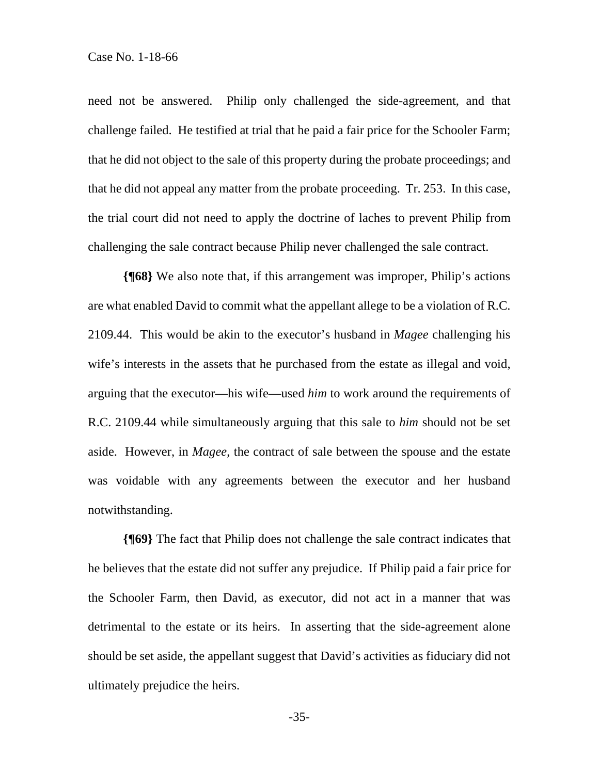need not be answered. Philip only challenged the side-agreement, and that challenge failed. He testified at trial that he paid a fair price for the Schooler Farm; that he did not object to the sale of this property during the probate proceedings; and that he did not appeal any matter from the probate proceeding. Tr. 253. In this case, the trial court did not need to apply the doctrine of laches to prevent Philip from challenging the sale contract because Philip never challenged the sale contract.

**{¶68}** We also note that, if this arrangement was improper, Philip's actions are what enabled David to commit what the appellant allege to be a violation of R.C. 2109.44. This would be akin to the executor's husband in *Magee* challenging his wife's interests in the assets that he purchased from the estate as illegal and void, arguing that the executor—his wife—used *him* to work around the requirements of R.C. 2109.44 while simultaneously arguing that this sale to *him* should not be set aside. However, in *Magee*, the contract of sale between the spouse and the estate was voidable with any agreements between the executor and her husband notwithstanding.

**{¶69}** The fact that Philip does not challenge the sale contract indicates that he believes that the estate did not suffer any prejudice. If Philip paid a fair price for the Schooler Farm, then David, as executor, did not act in a manner that was detrimental to the estate or its heirs. In asserting that the side-agreement alone should be set aside, the appellant suggest that David's activities as fiduciary did not ultimately prejudice the heirs.

-35-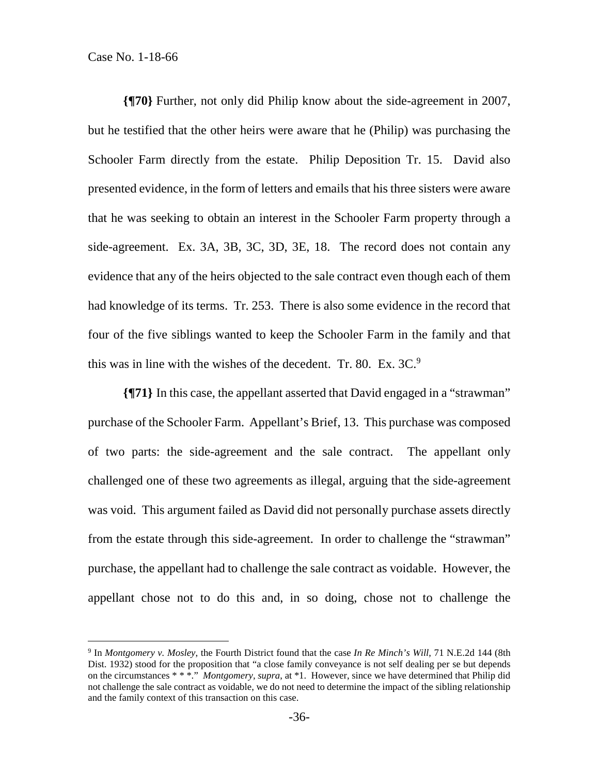$\overline{a}$ 

**{¶70}** Further, not only did Philip know about the side-agreement in 2007, but he testified that the other heirs were aware that he (Philip) was purchasing the Schooler Farm directly from the estate. Philip Deposition Tr. 15. David also presented evidence, in the form of letters and emails that his three sisters were aware that he was seeking to obtain an interest in the Schooler Farm property through a side-agreement. Ex. 3A, 3B, 3C, 3D, 3E, 18. The record does not contain any evidence that any of the heirs objected to the sale contract even though each of them had knowledge of its terms. Tr. 253. There is also some evidence in the record that four of the five siblings wanted to keep the Schooler Farm in the family and that this was in line with the wishes of the decedent. Tr. 80. Ex.  $3C<sup>9</sup>$ 

**{¶71}** In this case, the appellant asserted that David engaged in a "strawman" purchase of the Schooler Farm. Appellant's Brief, 13. This purchase was composed of two parts: the side-agreement and the sale contract. The appellant only challenged one of these two agreements as illegal, arguing that the side-agreement was void. This argument failed as David did not personally purchase assets directly from the estate through this side-agreement. In order to challenge the "strawman" purchase, the appellant had to challenge the sale contract as voidable. However, the appellant chose not to do this and, in so doing, chose not to challenge the

<sup>9</sup> In *Montgomery v. Mosley*, the Fourth District found that the case *In Re Minch's Will*, 71 N.E.2d 144 (8th Dist. 1932) stood for the proposition that "a close family conveyance is not self dealing per se but depends on the circumstances \* \* \*." *Montgomery, supra*, at \*1. However, since we have determined that Philip did not challenge the sale contract as voidable, we do not need to determine the impact of the sibling relationship and the family context of this transaction on this case.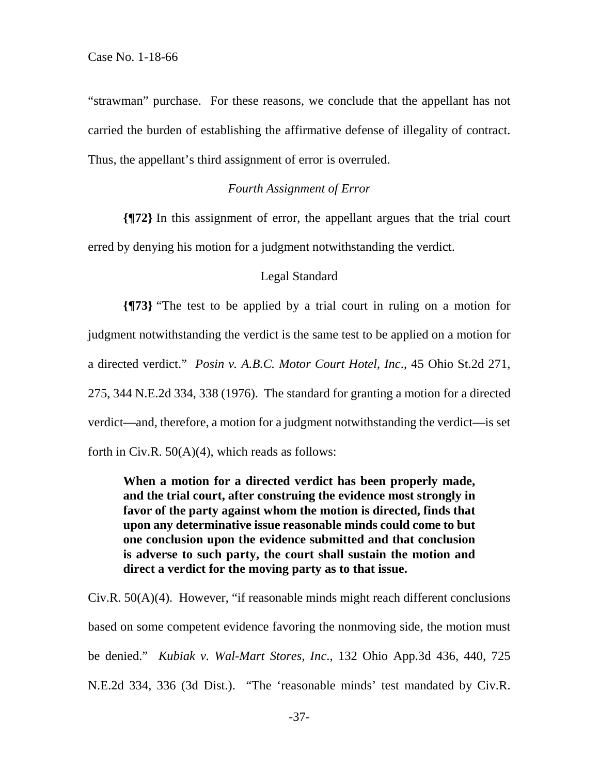"strawman" purchase. For these reasons, we conclude that the appellant has not carried the burden of establishing the affirmative defense of illegality of contract. Thus, the appellant's third assignment of error is overruled.

#### *Fourth Assignment of Error*

**{¶72}** In this assignment of error, the appellant argues that the trial court erred by denying his motion for a judgment notwithstanding the verdict.

#### Legal Standard

**{¶73}** "The test to be applied by a trial court in ruling on a motion for judgment notwithstanding the verdict is the same test to be applied on a motion for a directed verdict." *Posin v. A.B.C. Motor Court Hotel, Inc*., 45 Ohio St.2d 271, 275, 344 N.E.2d 334, 338 (1976). The standard for granting a motion for a directed verdict—and, therefore, a motion for a judgment notwithstanding the verdict—is set forth in Civ.R.  $50(A)(4)$ , which reads as follows:

**When a motion for a directed verdict has been properly made, and the trial court, after construing the evidence most strongly in favor of the party against whom the motion is directed, finds that upon any determinative issue reasonable minds could come to but one conclusion upon the evidence submitted and that conclusion is adverse to such party, the court shall sustain the motion and direct a verdict for the moving party as to that issue.** 

Civ.R. 50(A)(4). However, "if reasonable minds might reach different conclusions based on some competent evidence favoring the nonmoving side, the motion must be denied." *Kubiak v. Wal-Mart Stores, Inc*., 132 Ohio App.3d 436, 440, 725 N.E.2d 334, 336 (3d Dist.). "The 'reasonable minds' test mandated by Civ.R.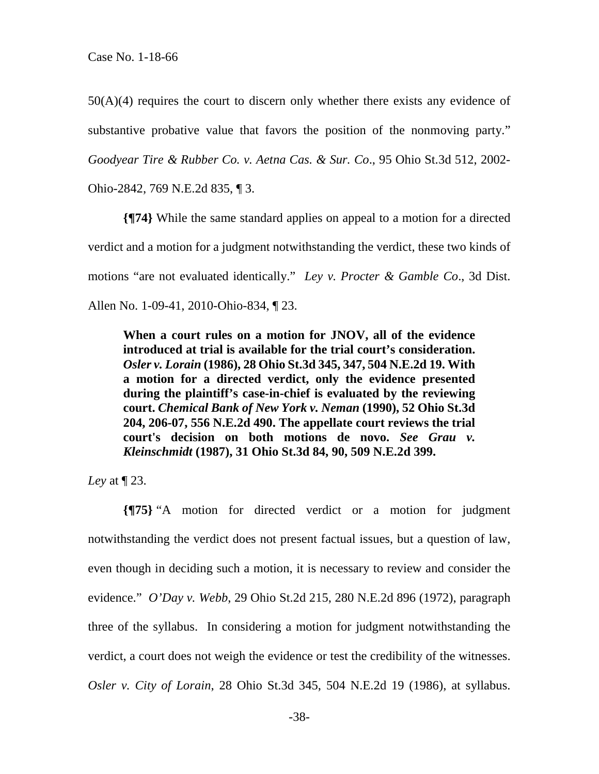$50(A)(4)$  requires the court to discern only whether there exists any evidence of substantive probative value that favors the position of the nonmoving party." *Goodyear Tire & Rubber Co. v. Aetna Cas. & Sur. Co*., 95 Ohio St.3d 512, 2002-

Ohio-2842, 769 N.E.2d 835, ¶ 3.

**{¶74}** While the same standard applies on appeal to a motion for a directed verdict and a motion for a judgment notwithstanding the verdict, these two kinds of motions "are not evaluated identically." *Ley v. Procter & Gamble Co*., 3d Dist. Allen No. 1-09-41, 2010-Ohio-834, ¶ 23.

**When a court rules on a motion for JNOV, all of the evidence introduced at trial is available for the trial court's consideration.**  *Osler v. Lorain* **(1986), 28 Ohio St.3d 345, 347, 504 N.E.2d 19. With a motion for a directed verdict, only the evidence presented during the plaintiff's case-in-chief is evaluated by the reviewing court.** *Chemical Bank of New York v. Neman* **(1990), 52 Ohio St.3d 204, 206-07, 556 N.E.2d 490. The appellate court reviews the trial court's decision on both motions de novo.** *See Grau v. Kleinschmidt* **(1987), 31 Ohio St.3d 84, 90, 509 N.E.2d 399.** 

*Ley* at ¶ 23.

**{¶75}** "A motion for directed verdict or a motion for judgment notwithstanding the verdict does not present factual issues, but a question of law, even though in deciding such a motion, it is necessary to review and consider the evidence." *O'Day v. Webb*, 29 Ohio St.2d 215, 280 N.E.2d 896 (1972), paragraph three of the syllabus. In considering a motion for judgment notwithstanding the verdict, a court does not weigh the evidence or test the credibility of the witnesses. *Osler v. City of Lorain*, 28 Ohio St.3d 345, 504 N.E.2d 19 (1986), at syllabus.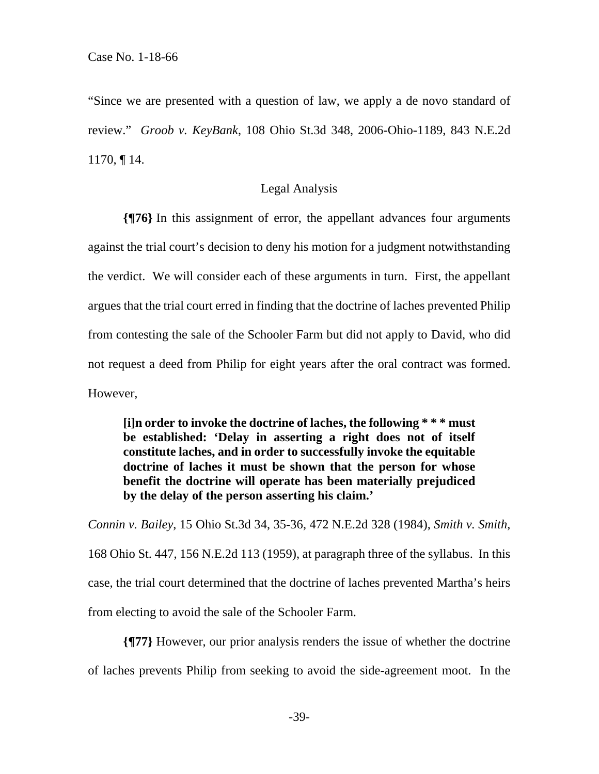"Since we are presented with a question of law, we apply a de novo standard of review." *Groob v. KeyBank*, 108 Ohio St.3d 348, 2006-Ohio-1189, 843 N.E.2d 1170, ¶ 14.

#### Legal Analysis

**{¶76}** In this assignment of error, the appellant advances four arguments against the trial court's decision to deny his motion for a judgment notwithstanding the verdict. We will consider each of these arguments in turn. First, the appellant argues that the trial court erred in finding that the doctrine of laches prevented Philip from contesting the sale of the Schooler Farm but did not apply to David, who did not request a deed from Philip for eight years after the oral contract was formed. However,

**[i]n order to invoke the doctrine of laches, the following \* \* \* must be established: 'Delay in asserting a right does not of itself constitute laches, and in order to successfully invoke the equitable doctrine of laches it must be shown that the person for whose benefit the doctrine will operate has been materially prejudiced by the delay of the person asserting his claim.'** 

*Connin v. Bailey*, 15 Ohio St.3d 34, 35-36, 472 N.E.2d 328 (1984), *Smith v. Smith*, 168 Ohio St. 447, 156 N.E.2d 113 (1959), at paragraph three of the syllabus. In this case, the trial court determined that the doctrine of laches prevented Martha's heirs from electing to avoid the sale of the Schooler Farm.

**{¶77}** However, our prior analysis renders the issue of whether the doctrine of laches prevents Philip from seeking to avoid the side-agreement moot. In the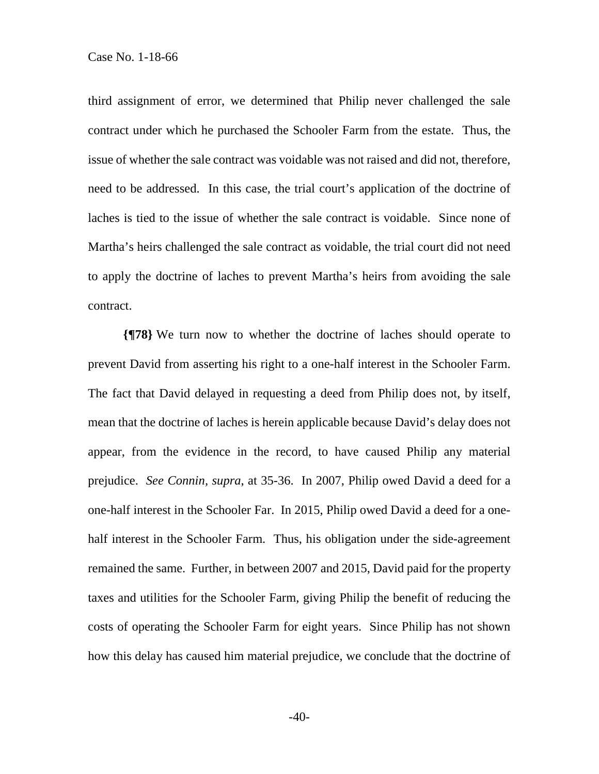third assignment of error, we determined that Philip never challenged the sale contract under which he purchased the Schooler Farm from the estate. Thus, the issue of whether the sale contract was voidable was not raised and did not, therefore, need to be addressed. In this case, the trial court's application of the doctrine of laches is tied to the issue of whether the sale contract is voidable. Since none of Martha's heirs challenged the sale contract as voidable, the trial court did not need to apply the doctrine of laches to prevent Martha's heirs from avoiding the sale contract.

**{¶78}** We turn now to whether the doctrine of laches should operate to prevent David from asserting his right to a one-half interest in the Schooler Farm. The fact that David delayed in requesting a deed from Philip does not, by itself, mean that the doctrine of laches is herein applicable because David's delay does not appear, from the evidence in the record, to have caused Philip any material prejudice. *See Connin, supra*, at 35-36. In 2007, Philip owed David a deed for a one-half interest in the Schooler Far. In 2015, Philip owed David a deed for a onehalf interest in the Schooler Farm. Thus, his obligation under the side-agreement remained the same. Further, in between 2007 and 2015, David paid for the property taxes and utilities for the Schooler Farm, giving Philip the benefit of reducing the costs of operating the Schooler Farm for eight years. Since Philip has not shown how this delay has caused him material prejudice, we conclude that the doctrine of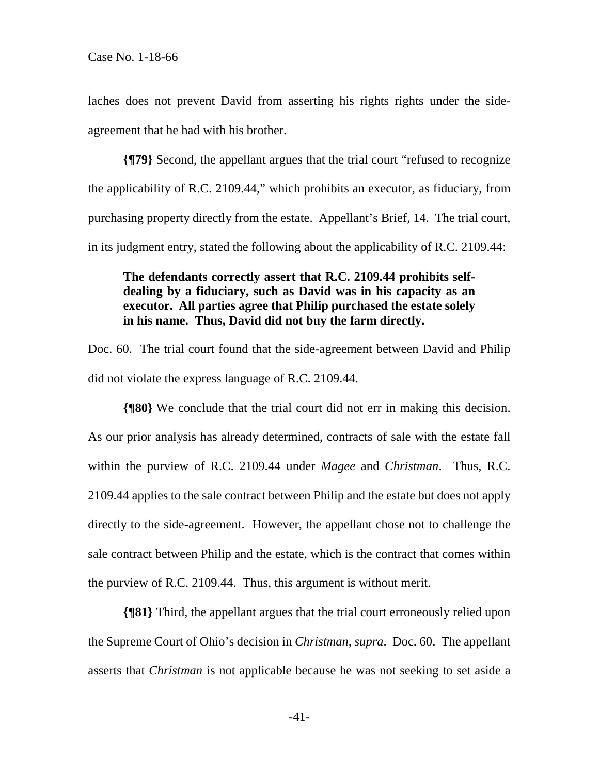laches does not prevent David from asserting his rights rights under the sideagreement that he had with his brother.

**{¶79}** Second, the appellant argues that the trial court "refused to recognize the applicability of R.C. 2109.44," which prohibits an executor, as fiduciary, from purchasing property directly from the estate. Appellant's Brief, 14. The trial court, in its judgment entry, stated the following about the applicability of R.C. 2109.44:

# **The defendants correctly assert that R.C. 2109.44 prohibits selfdealing by a fiduciary, such as David was in his capacity as an executor. All parties agree that Philip purchased the estate solely in his name. Thus, David did not buy the farm directly.**

Doc. 60. The trial court found that the side-agreement between David and Philip did not violate the express language of R.C. 2109.44.

**{¶80}** We conclude that the trial court did not err in making this decision. As our prior analysis has already determined, contracts of sale with the estate fall within the purview of R.C. 2109.44 under *Magee* and *Christman*. Thus, R.C. 2109.44 applies to the sale contract between Philip and the estate but does not apply directly to the side-agreement. However, the appellant chose not to challenge the sale contract between Philip and the estate, which is the contract that comes within the purview of R.C. 2109.44. Thus, this argument is without merit.

**{¶81}** Third, the appellant argues that the trial court erroneously relied upon the Supreme Court of Ohio's decision in *Christman, supra*. Doc. 60. The appellant asserts that *Christman* is not applicable because he was not seeking to set aside a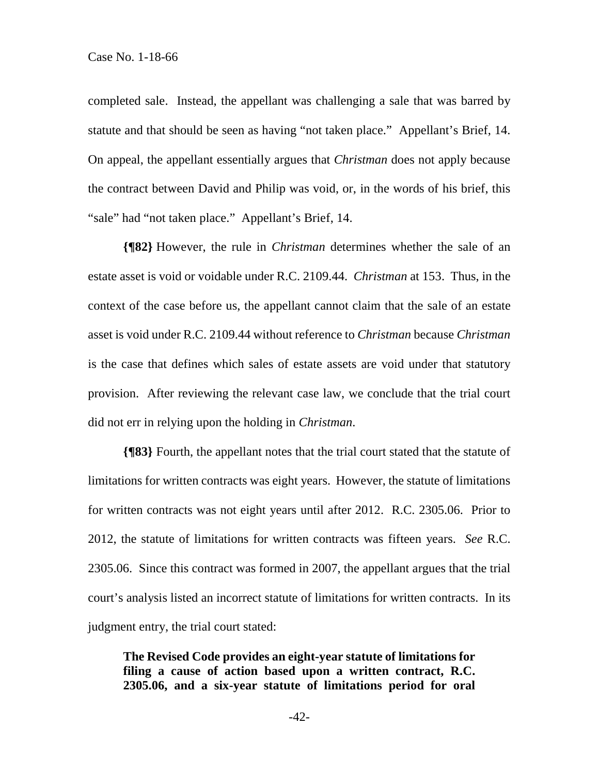completed sale. Instead, the appellant was challenging a sale that was barred by statute and that should be seen as having "not taken place." Appellant's Brief, 14. On appeal, the appellant essentially argues that *Christman* does not apply because the contract between David and Philip was void, or, in the words of his brief, this "sale" had "not taken place." Appellant's Brief, 14.

**{¶82}** However, the rule in *Christman* determines whether the sale of an estate asset is void or voidable under R.C. 2109.44. *Christman* at 153. Thus, in the context of the case before us, the appellant cannot claim that the sale of an estate asset is void under R.C. 2109.44 without reference to *Christman* because *Christman* is the case that defines which sales of estate assets are void under that statutory provision. After reviewing the relevant case law, we conclude that the trial court did not err in relying upon the holding in *Christman*.

**{¶83}** Fourth, the appellant notes that the trial court stated that the statute of limitations for written contracts was eight years. However, the statute of limitations for written contracts was not eight years until after 2012. R.C. 2305.06. Prior to 2012, the statute of limitations for written contracts was fifteen years. *See* R.C. 2305.06. Since this contract was formed in 2007, the appellant argues that the trial court's analysis listed an incorrect statute of limitations for written contracts. In its judgment entry, the trial court stated:

**The Revised Code provides an eight-year statute of limitations for filing a cause of action based upon a written contract, R.C. 2305.06, and a six-year statute of limitations period for oral**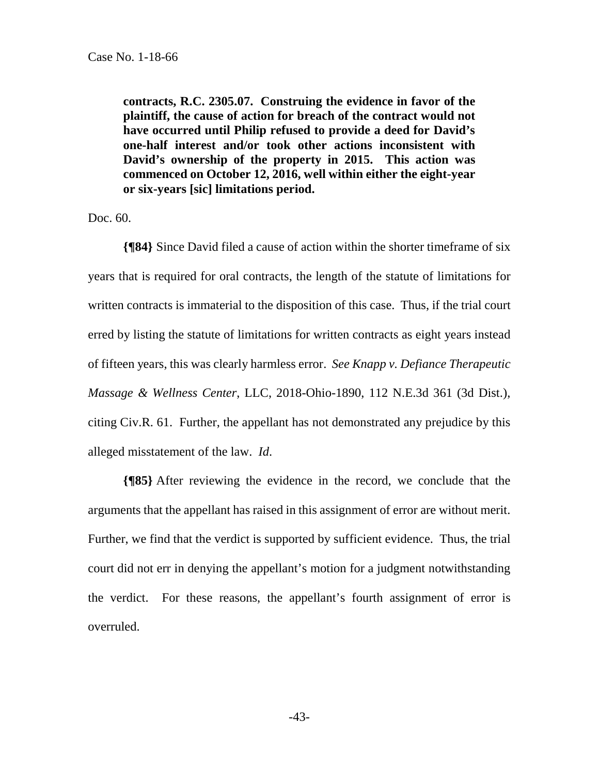**contracts, R.C. 2305.07. Construing the evidence in favor of the plaintiff, the cause of action for breach of the contract would not have occurred until Philip refused to provide a deed for David's one-half interest and/or took other actions inconsistent with David's ownership of the property in 2015. This action was commenced on October 12, 2016, well within either the eight-year or six-years [sic] limitations period.** 

Doc. 60.

**{¶84}** Since David filed a cause of action within the shorter timeframe of six years that is required for oral contracts, the length of the statute of limitations for written contracts is immaterial to the disposition of this case. Thus, if the trial court erred by listing the statute of limitations for written contracts as eight years instead of fifteen years, this was clearly harmless error. *See Knapp v. Defiance Therapeutic Massage & Wellness Center*, LLC, 2018-Ohio-1890, 112 N.E.3d 361 (3d Dist.), citing Civ.R. 61. Further, the appellant has not demonstrated any prejudice by this alleged misstatement of the law. *Id*.

**{¶85}** After reviewing the evidence in the record, we conclude that the arguments that the appellant has raised in this assignment of error are without merit. Further, we find that the verdict is supported by sufficient evidence. Thus, the trial court did not err in denying the appellant's motion for a judgment notwithstanding the verdict. For these reasons, the appellant's fourth assignment of error is overruled.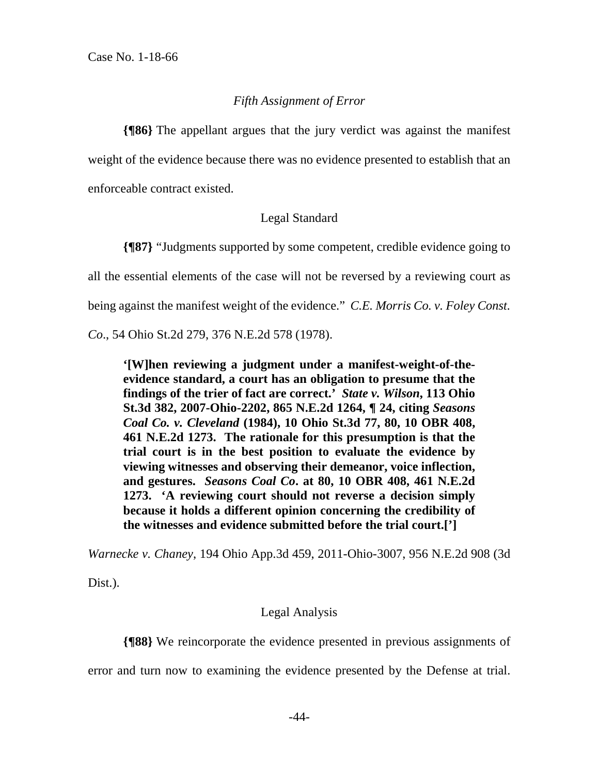#### *Fifth Assignment of Error*

**{¶86}** The appellant argues that the jury verdict was against the manifest weight of the evidence because there was no evidence presented to establish that an enforceable contract existed.

#### Legal Standard

**{¶87}** "Judgments supported by some competent, credible evidence going to all the essential elements of the case will not be reversed by a reviewing court as being against the manifest weight of the evidence." *C.E. Morris Co. v. Foley Const.* 

*Co*., 54 Ohio St.2d 279, 376 N.E.2d 578 (1978).

**'[W]hen reviewing a judgment under a manifest-weight-of-theevidence standard, a court has an obligation to presume that the findings of the trier of fact are correct.'** *State v. Wilson***, 113 Ohio St.3d 382, 2007-Ohio-2202, 865 N.E.2d 1264, ¶ 24, citing** *Seasons Coal Co. v. Cleveland* **(1984), 10 Ohio St.3d 77, 80, 10 OBR 408, 461 N.E.2d 1273. The rationale for this presumption is that the trial court is in the best position to evaluate the evidence by viewing witnesses and observing their demeanor, voice inflection, and gestures.** *Seasons Coal Co***. at 80, 10 OBR 408, 461 N.E.2d 1273. 'A reviewing court should not reverse a decision simply because it holds a different opinion concerning the credibility of the witnesses and evidence submitted before the trial court.[']** 

*Warnecke v. Chaney*, 194 Ohio App.3d 459, 2011-Ohio-3007, 956 N.E.2d 908 (3d

Dist.).

#### Legal Analysis

**{¶88}** We reincorporate the evidence presented in previous assignments of

error and turn now to examining the evidence presented by the Defense at trial.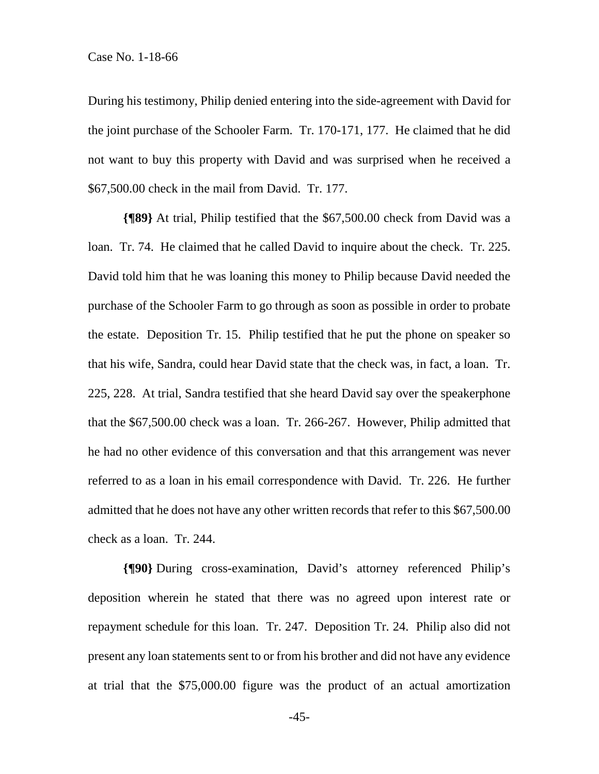During his testimony, Philip denied entering into the side-agreement with David for the joint purchase of the Schooler Farm. Tr. 170-171, 177. He claimed that he did not want to buy this property with David and was surprised when he received a \$67,500.00 check in the mail from David. Tr. 177.

**{¶89}** At trial, Philip testified that the \$67,500.00 check from David was a loan. Tr. 74. He claimed that he called David to inquire about the check. Tr. 225. David told him that he was loaning this money to Philip because David needed the purchase of the Schooler Farm to go through as soon as possible in order to probate the estate. Deposition Tr. 15. Philip testified that he put the phone on speaker so that his wife, Sandra, could hear David state that the check was, in fact, a loan. Tr. 225, 228. At trial, Sandra testified that she heard David say over the speakerphone that the \$67,500.00 check was a loan. Tr. 266-267. However, Philip admitted that he had no other evidence of this conversation and that this arrangement was never referred to as a loan in his email correspondence with David. Tr. 226. He further admitted that he does not have any other written records that refer to this \$67,500.00 check as a loan. Tr. 244.

**{¶90}** During cross-examination, David's attorney referenced Philip's deposition wherein he stated that there was no agreed upon interest rate or repayment schedule for this loan. Tr. 247. Deposition Tr. 24. Philip also did not present any loan statements sent to or from his brother and did not have any evidence at trial that the \$75,000.00 figure was the product of an actual amortization

-45-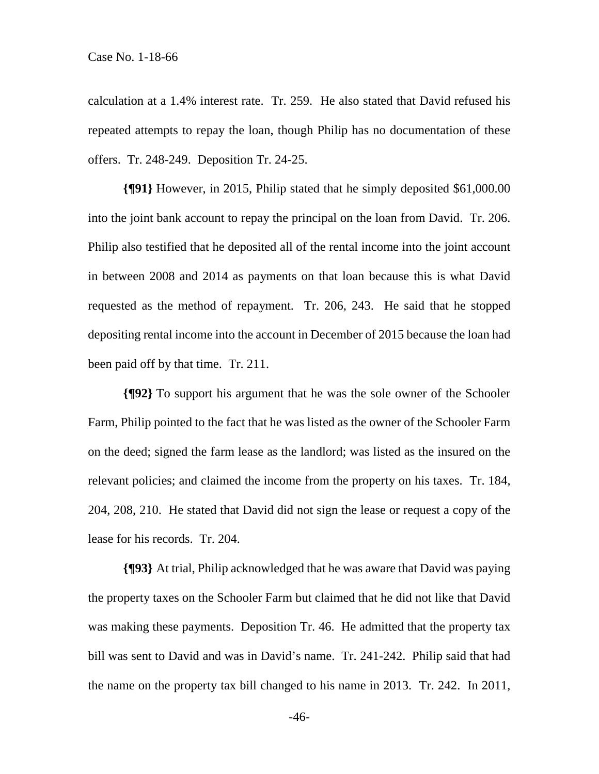calculation at a 1.4% interest rate. Tr. 259. He also stated that David refused his repeated attempts to repay the loan, though Philip has no documentation of these offers. Tr. 248-249. Deposition Tr. 24-25.

**{¶91}** However, in 2015, Philip stated that he simply deposited \$61,000.00 into the joint bank account to repay the principal on the loan from David. Tr. 206. Philip also testified that he deposited all of the rental income into the joint account in between 2008 and 2014 as payments on that loan because this is what David requested as the method of repayment. Tr. 206, 243. He said that he stopped depositing rental income into the account in December of 2015 because the loan had been paid off by that time. Tr. 211.

**{¶92}** To support his argument that he was the sole owner of the Schooler Farm, Philip pointed to the fact that he was listed as the owner of the Schooler Farm on the deed; signed the farm lease as the landlord; was listed as the insured on the relevant policies; and claimed the income from the property on his taxes. Tr. 184, 204, 208, 210. He stated that David did not sign the lease or request a copy of the lease for his records. Tr. 204.

**{¶93}** At trial, Philip acknowledged that he was aware that David was paying the property taxes on the Schooler Farm but claimed that he did not like that David was making these payments. Deposition Tr. 46. He admitted that the property tax bill was sent to David and was in David's name. Tr. 241-242. Philip said that had the name on the property tax bill changed to his name in 2013. Tr. 242. In 2011,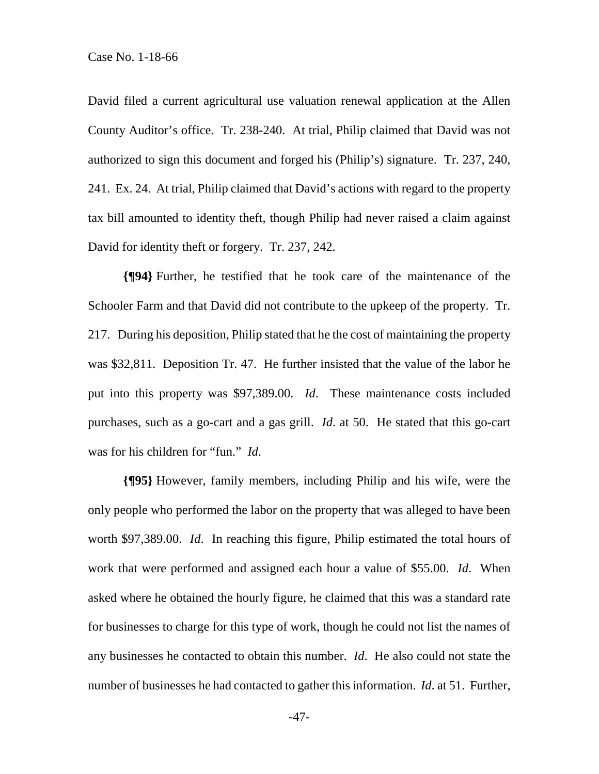David filed a current agricultural use valuation renewal application at the Allen County Auditor's office. Tr. 238-240. At trial, Philip claimed that David was not authorized to sign this document and forged his (Philip's) signature. Tr. 237, 240, 241. Ex. 24. At trial, Philip claimed that David's actions with regard to the property tax bill amounted to identity theft, though Philip had never raised a claim against David for identity theft or forgery. Tr. 237, 242.

**{¶94}** Further, he testified that he took care of the maintenance of the Schooler Farm and that David did not contribute to the upkeep of the property. Tr. 217. During his deposition, Philip stated that he the cost of maintaining the property was \$32,811. Deposition Tr. 47. He further insisted that the value of the labor he put into this property was \$97,389.00. *Id*. These maintenance costs included purchases, such as a go-cart and a gas grill. *Id*. at 50. He stated that this go-cart was for his children for "fun." *Id*.

**{¶95}** However, family members, including Philip and his wife, were the only people who performed the labor on the property that was alleged to have been worth \$97,389.00. *Id*. In reaching this figure, Philip estimated the total hours of work that were performed and assigned each hour a value of \$55.00. *Id*. When asked where he obtained the hourly figure, he claimed that this was a standard rate for businesses to charge for this type of work, though he could not list the names of any businesses he contacted to obtain this number. *Id*. He also could not state the number of businesses he had contacted to gather this information. *Id*. at 51. Further,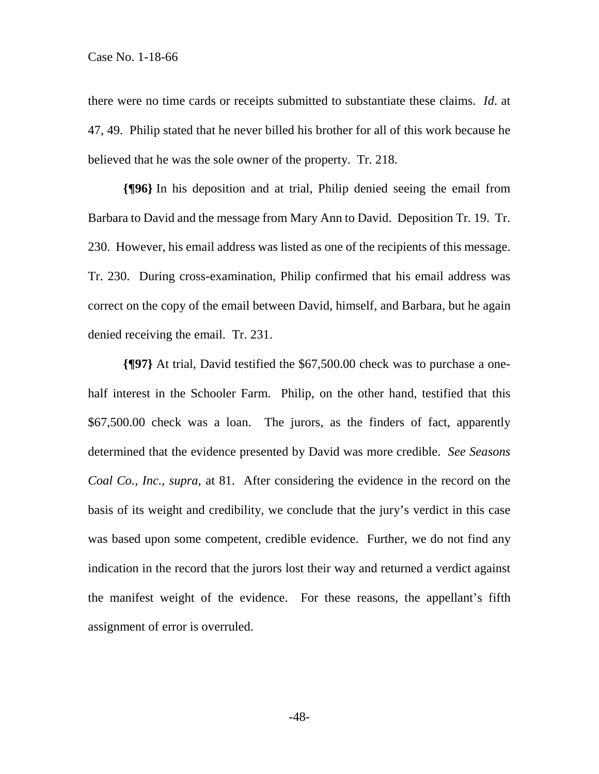there were no time cards or receipts submitted to substantiate these claims. *Id*. at 47, 49. Philip stated that he never billed his brother for all of this work because he believed that he was the sole owner of the property. Tr. 218.

**{¶96}** In his deposition and at trial, Philip denied seeing the email from Barbara to David and the message from Mary Ann to David. Deposition Tr. 19. Tr. 230. However, his email address was listed as one of the recipients of this message. Tr. 230. During cross-examination, Philip confirmed that his email address was correct on the copy of the email between David, himself, and Barbara, but he again denied receiving the email. Tr. 231.

**{¶97}** At trial, David testified the \$67,500.00 check was to purchase a onehalf interest in the Schooler Farm. Philip, on the other hand, testified that this \$67,500.00 check was a loan. The jurors, as the finders of fact, apparently determined that the evidence presented by David was more credible. *See Seasons Coal Co., Inc., supra,* at 81. After considering the evidence in the record on the basis of its weight and credibility, we conclude that the jury's verdict in this case was based upon some competent, credible evidence. Further, we do not find any indication in the record that the jurors lost their way and returned a verdict against the manifest weight of the evidence. For these reasons, the appellant's fifth assignment of error is overruled.